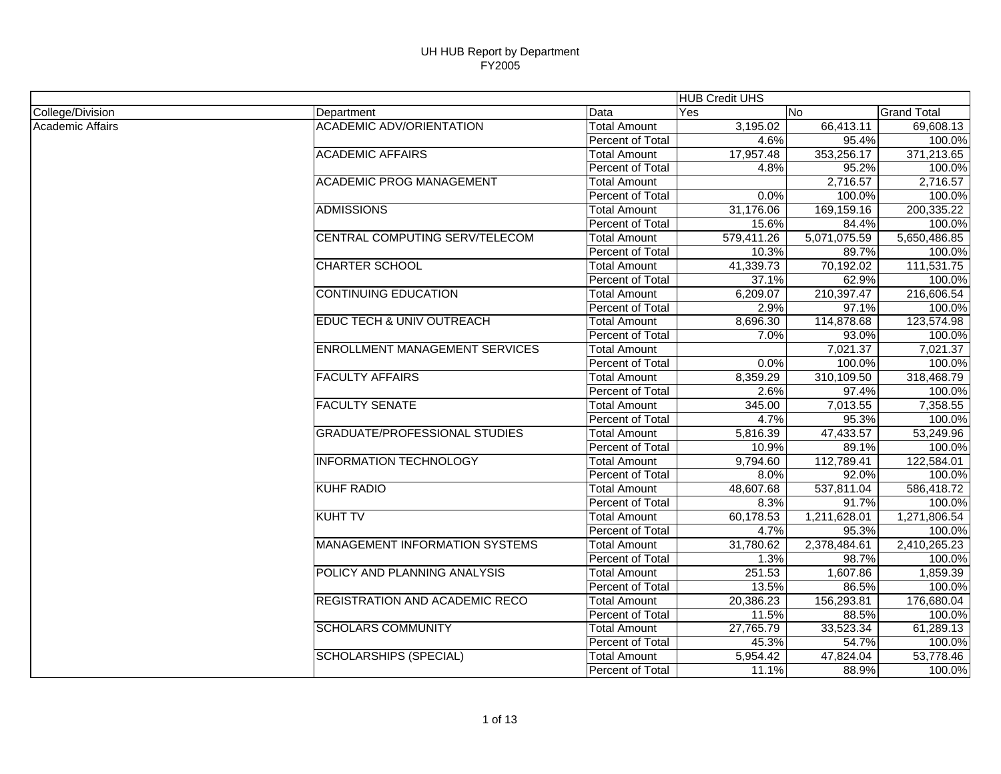|                  |                                       |                         | <b>HUB Credit UHS</b> |              |                    |
|------------------|---------------------------------------|-------------------------|-----------------------|--------------|--------------------|
| College/Division | Department                            | Data                    | Yes                   | No           | <b>Grand Total</b> |
| Academic Affairs | <b>ACADEMIC ADV/ORIENTATION</b>       | <b>Total Amount</b>     | 3,195.02              | 66,413.11    | 69,608.13          |
|                  |                                       | <b>Percent of Total</b> | 4.6%                  | 95.4%        | 100.0%             |
|                  | <b>ACADEMIC AFFAIRS</b>               | <b>Total Amount</b>     | 17,957.48             | 353,256.17   | 371,213.65         |
|                  |                                       | Percent of Total        | 4.8%                  | 95.2%        | 100.0%             |
|                  | <b>ACADEMIC PROG MANAGEMENT</b>       | <b>Total Amount</b>     |                       | 2,716.57     | 2,716.57           |
|                  |                                       | Percent of Total        | 0.0%                  | 100.0%       | 100.0%             |
|                  | <b>ADMISSIONS</b>                     | <b>Total Amount</b>     | 31,176.06             | 169,159.16   | 200,335.22         |
|                  |                                       | Percent of Total        | 15.6%                 | 84.4%        | 100.0%             |
|                  | CENTRAL COMPUTING SERV/TELECOM        | <b>Total Amount</b>     | 579,411.26            | 5,071,075.59 | 5,650,486.85       |
|                  |                                       | Percent of Total        | 10.3%                 | 89.7%        | 100.0%             |
|                  | <b>CHARTER SCHOOL</b>                 | <b>Total Amount</b>     | 41,339.73             | 70,192.02    | 111,531.75         |
|                  |                                       | Percent of Total        | 37.1%                 | 62.9%        | 100.0%             |
|                  | <b>CONTINUING EDUCATION</b>           | <b>Total Amount</b>     | 6,209.07              | 210,397.47   | 216,606.54         |
|                  |                                       | Percent of Total        | 2.9%                  | 97.1%        | 100.0%             |
|                  | <b>EDUC TECH &amp; UNIV OUTREACH</b>  | <b>Total Amount</b>     | 8,696.30              | 114,878.68   | 123,574.98         |
|                  |                                       | Percent of Total        | 7.0%                  | 93.0%        | 100.0%             |
|                  | <b>ENROLLMENT MANAGEMENT SERVICES</b> | <b>Total Amount</b>     |                       | 7,021.37     | 7,021.37           |
|                  |                                       | Percent of Total        | 0.0%                  | 100.0%       | 100.0%             |
|                  | <b>FACULTY AFFAIRS</b>                | <b>Total Amount</b>     | 8,359.29              | 310,109.50   | 318,468.79         |
|                  |                                       | Percent of Total        | 2.6%                  | 97.4%        | 100.0%             |
|                  | <b>FACULTY SENATE</b>                 | <b>Total Amount</b>     | 345.00                | 7,013.55     | 7,358.55           |
|                  |                                       | Percent of Total        | 4.7%                  | 95.3%        | 100.0%             |
|                  | <b>GRADUATE/PROFESSIONAL STUDIES</b>  | <b>Total Amount</b>     | 5,816.39              | 47,433.57    | 53,249.96          |
|                  |                                       | <b>Percent of Total</b> | 10.9%                 | 89.1%        | 100.0%             |
|                  | <b>INFORMATION TECHNOLOGY</b>         | <b>Total Amount</b>     | 9,794.60              | 112,789.41   | 122,584.01         |
|                  |                                       | <b>Percent of Total</b> | $8.0\%$               | 92.0%        | 100.0%             |
|                  | <b>KUHF RADIO</b>                     | <b>Total Amount</b>     | 48,607.68             | 537,811.04   | 586,418.72         |
|                  |                                       | Percent of Total        | 8.3%                  | 91.7%        | 100.0%             |
|                  | <b>KUHT TV</b>                        | <b>Total Amount</b>     | 60,178.53             | 1,211,628.01 | 1,271,806.54       |
|                  |                                       | Percent of Total        | 4.7%                  | 95.3%        | 100.0%             |
|                  | <b>MANAGEMENT INFORMATION SYSTEMS</b> | <b>Total Amount</b>     | 31,780.62             | 2,378,484.61 | 2,410,265.23       |
|                  |                                       | Percent of Total        | 1.3%                  | 98.7%        | 100.0%             |
|                  | POLICY AND PLANNING ANALYSIS          | <b>Total Amount</b>     | 251.53                | 1,607.86     | 1,859.39           |
|                  |                                       | Percent of Total        | 13.5%                 | 86.5%        | 100.0%             |
|                  | REGISTRATION AND ACADEMIC RECO        | <b>Total Amount</b>     | 20,386.23             | 156,293.81   | 176,680.04         |
|                  |                                       | Percent of Total        | 11.5%                 | 88.5%        | 100.0%             |
|                  | <b>SCHOLARS COMMUNITY</b>             | <b>Total Amount</b>     | 27,765.79             | 33,523.34    | 61,289.13          |
|                  |                                       | Percent of Total        | 45.3%                 | 54.7%        | 100.0%             |
|                  | <b>SCHOLARSHIPS (SPECIAL)</b>         | <b>Total Amount</b>     | 5,954.42              | 47,824.04    | 53,778.46          |
|                  |                                       | Percent of Total        | 11.1%                 | 88.9%        | 100.0%             |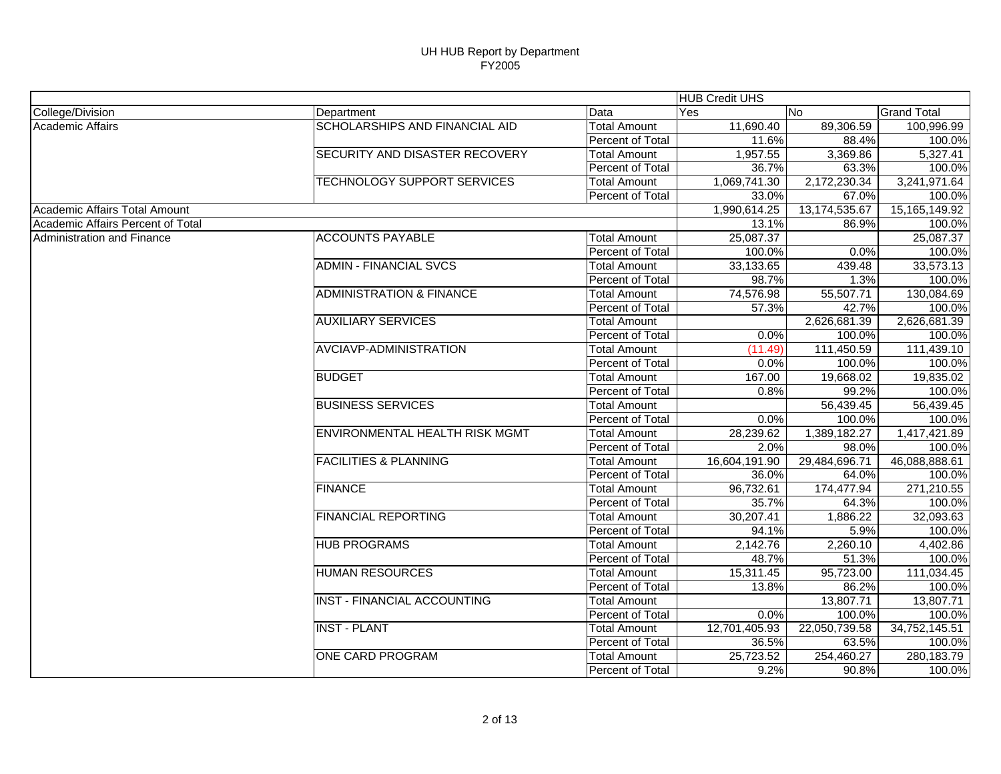|                                   |                                       |                     | <b>HUB Credit UHS</b> |               |                    |
|-----------------------------------|---------------------------------------|---------------------|-----------------------|---------------|--------------------|
| College/Division                  | Department                            | Data                | Yes                   | No.           | <b>Grand Total</b> |
| <b>Academic Affairs</b>           | SCHOLARSHIPS AND FINANCIAL AID        | <b>Total Amount</b> | 11,690.40             | 89,306.59     | 100,996.99         |
|                                   |                                       | Percent of Total    | 11.6%                 | 88.4%         | 100.0%             |
|                                   | SECURITY AND DISASTER RECOVERY        | <b>Total Amount</b> | 1,957.55              | 3,369.86      | 5,327.41           |
|                                   |                                       | Percent of Total    | 36.7%                 | 63.3%         | 100.0%             |
|                                   | <b>TECHNOLOGY SUPPORT SERVICES</b>    | <b>Total Amount</b> | 1,069,741.30          | 2,172,230.34  | 3,241,971.64       |
|                                   |                                       | Percent of Total    | 33.0%                 | 67.0%         | 100.0%             |
| Academic Affairs Total Amount     |                                       |                     | 1,990,614.25          | 13,174,535.67 | 15, 165, 149. 92   |
| Academic Affairs Percent of Total |                                       |                     | 13.1%                 | 86.9%         | 100.0%             |
| <b>Administration and Finance</b> | <b>ACCOUNTS PAYABLE</b>               | <b>Total Amount</b> | 25,087.37             |               | 25,087.37          |
|                                   |                                       | Percent of Total    | 100.0%                | 0.0%          | 100.0%             |
|                                   | <b>ADMIN - FINANCIAL SVCS</b>         | <b>Total Amount</b> | 33,133.65             | 439.48        | 33,573.13          |
|                                   |                                       | Percent of Total    | 98.7%                 | 1.3%          | 100.0%             |
|                                   | <b>ADMINISTRATION &amp; FINANCE</b>   | <b>Total Amount</b> | 74,576.98             | 55,507.71     | 130,084.69         |
|                                   |                                       | Percent of Total    | 57.3%                 | 42.7%         | 100.0%             |
|                                   | <b>AUXILIARY SERVICES</b>             | <b>Total Amount</b> |                       | 2,626,681.39  | 2,626,681.39       |
|                                   |                                       | Percent of Total    | 0.0%                  | 100.0%        | 100.0%             |
|                                   | <b>AVCIAVP-ADMINISTRATION</b>         | <b>Total Amount</b> | (11.49)               | 111,450.59    | 111,439.10         |
|                                   |                                       | Percent of Total    | 0.0%                  | 100.0%        | 100.0%             |
|                                   | <b>BUDGET</b>                         | <b>Total Amount</b> | 167.00                | 19,668.02     | 19,835.02          |
|                                   |                                       | Percent of Total    | 0.8%                  | 99.2%         | 100.0%             |
|                                   | <b>BUSINESS SERVICES</b>              | <b>Total Amount</b> |                       | 56,439.45     | 56,439.45          |
|                                   |                                       | Percent of Total    | 0.0%                  | 100.0%        | 100.0%             |
|                                   | <b>ENVIRONMENTAL HEALTH RISK MGMT</b> | <b>Total Amount</b> | 28,239.62             | 1,389,182.27  | 1,417,421.89       |
|                                   |                                       | Percent of Total    | 2.0%                  | 98.0%         | 100.0%             |
|                                   | <b>FACILITIES &amp; PLANNING</b>      | <b>Total Amount</b> | 16,604,191.90         | 29,484,696.71 | 46,088,888.61      |
|                                   |                                       | Percent of Total    | 36.0%                 | 64.0%         | 100.0%             |
|                                   | <b>FINANCE</b>                        | <b>Total Amount</b> | 96,732.61             | 174,477.94    | 271,210.55         |
|                                   |                                       | Percent of Total    | 35.7%                 | 64.3%         | 100.0%             |
|                                   | <b>FINANCIAL REPORTING</b>            | <b>Total Amount</b> | 30,207.41             | 1,886.22      | 32,093.63          |
|                                   |                                       | Percent of Total    | 94.1%                 | 5.9%          | 100.0%             |
|                                   | <b>HUB PROGRAMS</b>                   | <b>Total Amount</b> | 2,142.76              | 2,260.10      | 4,402.86           |
|                                   |                                       | Percent of Total    | 48.7%                 | 51.3%         | 100.0%             |
|                                   | <b>HUMAN RESOURCES</b>                | <b>Total Amount</b> | 15,311.45             | 95,723.00     | 111,034.45         |
|                                   |                                       | Percent of Total    | 13.8%                 | 86.2%         | 100.0%             |
|                                   | <b>INST - FINANCIAL ACCOUNTING</b>    | <b>Total Amount</b> |                       | 13,807.71     | 13,807.71          |
|                                   |                                       | Percent of Total    | 0.0%                  | 100.0%        | 100.0%             |
|                                   | <b>INST - PLANT</b>                   | <b>Total Amount</b> | 12,701,405.93         | 22,050,739.58 | 34,752,145.51      |
|                                   |                                       | Percent of Total    | 36.5%                 | 63.5%         | 100.0%             |
|                                   | ONE CARD PROGRAM                      | <b>Total Amount</b> | 25,723.52             | 254,460.27    | 280,183.79         |
|                                   |                                       | Percent of Total    | 9.2%                  | 90.8%         | 100.0%             |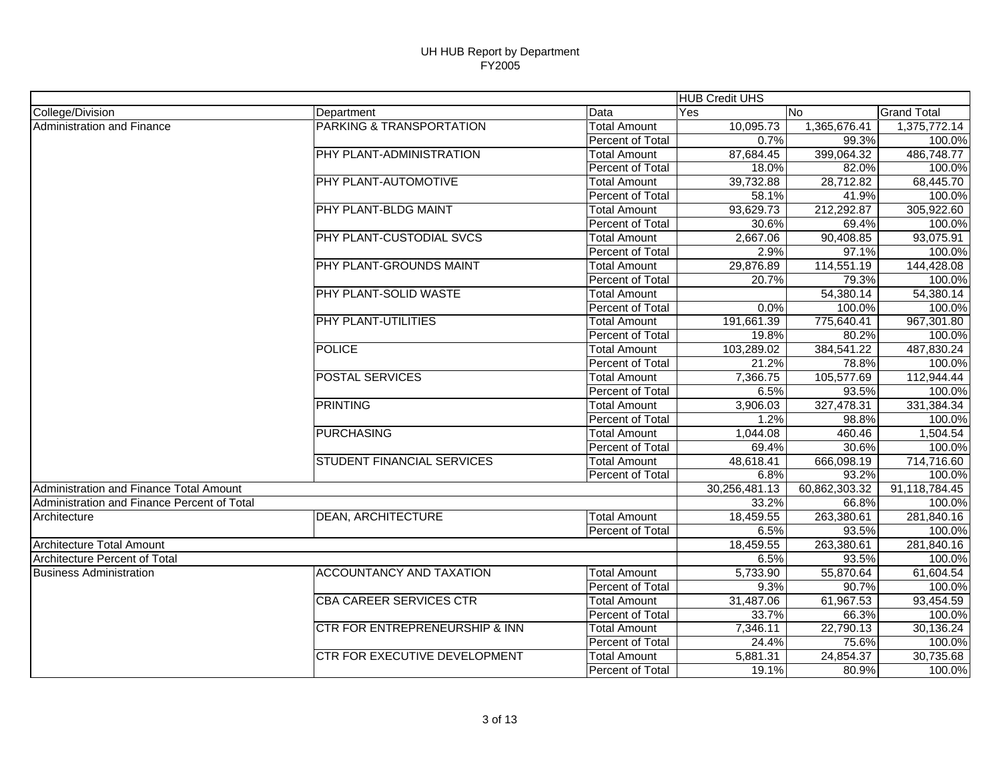|                                             |                                 |                     | <b>HUB Credit UHS</b> |               |                    |
|---------------------------------------------|---------------------------------|---------------------|-----------------------|---------------|--------------------|
| College/Division                            | Department                      | Data                | Yes                   | No.           | <b>Grand Total</b> |
| Administration and Finance                  | PARKING & TRANSPORTATION        | <b>Total Amount</b> | 10,095.73             | 1,365,676.41  | 1,375,772.14       |
|                                             |                                 | Percent of Total    | 0.7%                  | 99.3%         | 100.0%             |
|                                             | PHY PLANT-ADMINISTRATION        | <b>Total Amount</b> | 87,684.45             | 399,064.32    | 486,748.77         |
|                                             |                                 | Percent of Total    | 18.0%                 | 82.0%         | 100.0%             |
|                                             | PHY PLANT-AUTOMOTIVE            | <b>Total Amount</b> | 39,732.88             | 28,712.82     | 68,445.70          |
|                                             |                                 | Percent of Total    | 58.1%                 | 41.9%         | 100.0%             |
|                                             | PHY PLANT-BLDG MAINT            | <b>Total Amount</b> | 93,629.73             | 212,292.87    | 305,922.60         |
|                                             |                                 | Percent of Total    | 30.6%                 | 69.4%         | 100.0%             |
|                                             | PHY PLANT-CUSTODIAL SVCS        | <b>Total Amount</b> | 2,667.06              | 90,408.85     | 93,075.91          |
|                                             |                                 | Percent of Total    | 2.9%                  | 97.1%         | 100.0%             |
|                                             | PHY PLANT-GROUNDS MAINT         | <b>Total Amount</b> | 29,876.89             | 114,551.19    | 144,428.08         |
|                                             |                                 | Percent of Total    | 20.7%                 | 79.3%         | 100.0%             |
|                                             | PHY PLANT-SOLID WASTE           | <b>Total Amount</b> |                       | 54,380.14     | 54,380.14          |
|                                             |                                 | Percent of Total    | 0.0%                  | 100.0%        | 100.0%             |
|                                             | PHY PLANT-UTILITIES             | <b>Total Amount</b> | 191,661.39            | 775,640.41    | 967,301.80         |
|                                             |                                 | Percent of Total    | 19.8%                 | 80.2%         | 100.0%             |
|                                             | <b>POLICE</b>                   | <b>Total Amount</b> | 103,289.02            | 384,541.22    | 487,830.24         |
|                                             |                                 | Percent of Total    | 21.2%                 | 78.8%         | 100.0%             |
|                                             | <b>POSTAL SERVICES</b>          | <b>Total Amount</b> | 7,366.75              | 105,577.69    | 112,944.44         |
|                                             |                                 | Percent of Total    | 6.5%                  | 93.5%         | 100.0%             |
|                                             | <b>PRINTING</b>                 | <b>Total Amount</b> | 3,906.03              | 327,478.31    | 331,384.34         |
|                                             |                                 | Percent of Total    | 1.2%                  | 98.8%         | 100.0%             |
|                                             | <b>PURCHASING</b>               | <b>Total Amount</b> | 1,044.08              | 460.46        | 1,504.54           |
|                                             |                                 | Percent of Total    | 69.4%                 | 30.6%         | 100.0%             |
|                                             | STUDENT FINANCIAL SERVICES      | <b>Total Amount</b> | 48,618.41             | 666,098.19    | 714,716.60         |
|                                             |                                 | Percent of Total    | 6.8%                  | 93.2%         | 100.0%             |
| Administration and Finance Total Amount     |                                 |                     | 30,256,481.13         | 60,862,303.32 | 91,118,784.45      |
| Administration and Finance Percent of Total |                                 |                     | 33.2%                 | 66.8%         | 100.0%             |
| Architecture                                | <b>DEAN, ARCHITECTURE</b>       | <b>Total Amount</b> | 18,459.55             | 263,380.61    | 281,840.16         |
|                                             |                                 | Percent of Total    | 6.5%                  | 93.5%         | 100.0%             |
| <b>Architecture Total Amount</b>            |                                 |                     | 18,459.55             | 263,380.61    | 281,840.16         |
| Architecture Percent of Total               |                                 |                     | 6.5%                  | 93.5%         | 100.0%             |
| <b>Business Administration</b>              | <b>ACCOUNTANCY AND TAXATION</b> | <b>Total Amount</b> | 5,733.90              | 55,870.64     | 61,604.54          |
|                                             |                                 | Percent of Total    | 9.3%                  | 90.7%         | 100.0%             |
|                                             | <b>CBA CAREER SERVICES CTR</b>  | <b>Total Amount</b> | 31,487.06             | 61,967.53     | 93,454.59          |
|                                             |                                 | Percent of Total    | 33.7%                 | 66.3%         | 100.0%             |
|                                             | CTR FOR ENTREPRENEURSHIP & INN  | <b>Total Amount</b> | 7,346.11              | 22,790.13     | 30,136.24          |
|                                             |                                 | Percent of Total    | 24.4%                 | 75.6%         | 100.0%             |
|                                             | CTR FOR EXECUTIVE DEVELOPMENT   | <b>Total Amount</b> | 5,881.31              | 24,854.37     | 30,735.68          |
|                                             |                                 | Percent of Total    | 19.1%                 | 80.9%         | 100.0%             |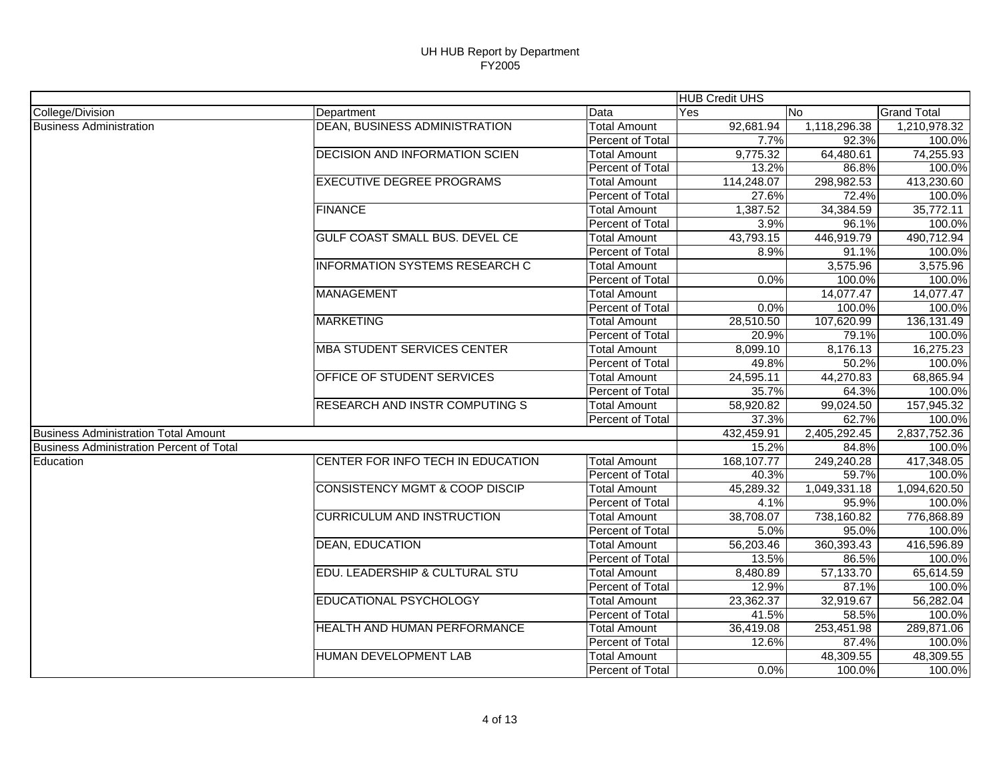|                                                 |                                           |                     | <b>HUB Credit UHS</b> |              |                    |
|-------------------------------------------------|-------------------------------------------|---------------------|-----------------------|--------------|--------------------|
| College/Division                                | Department                                | Data                | Yes                   | No           | <b>Grand Total</b> |
| <b>Business Administration</b>                  | <b>DEAN, BUSINESS ADMINISTRATION</b>      | Total Amount        | 92,681.94             | 1,118,296.38 | 1,210,978.32       |
|                                                 |                                           | Percent of Total    | 7.7%                  | 92.3%        | 100.0%             |
|                                                 | <b>DECISION AND INFORMATION SCIEN</b>     | Total Amount        | 9,775.32              | 64,480.61    | 74,255.93          |
|                                                 |                                           | Percent of Total    | 13.2%                 | 86.8%        | 100.0%             |
|                                                 | <b>EXECUTIVE DEGREE PROGRAMS</b>          | <b>Total Amount</b> | 114,248.07            | 298,982.53   | 413,230.60         |
|                                                 |                                           | Percent of Total    | 27.6%                 | 72.4%        | 100.0%             |
|                                                 | <b>FINANCE</b>                            | Total Amount        | 1,387.52              | 34,384.59    | 35,772.11          |
|                                                 |                                           | Percent of Total    | 3.9%                  | 96.1%        | 100.0%             |
|                                                 | GULF COAST SMALL BUS. DEVEL CE            | <b>Total Amount</b> | 43,793.15             | 446,919.79   | 490,712.94         |
|                                                 |                                           | Percent of Total    | 8.9%                  | 91.1%        | 100.0%             |
|                                                 | <b>INFORMATION SYSTEMS RESEARCH C</b>     | <b>Total Amount</b> |                       | 3,575.96     | 3,575.96           |
|                                                 |                                           | Percent of Total    | 0.0%                  | 100.0%       | 100.0%             |
|                                                 | <b>MANAGEMENT</b>                         | <b>Total Amount</b> |                       | 14,077.47    | 14,077.47          |
|                                                 |                                           | Percent of Total    | 0.0%                  | 100.0%       | 100.0%             |
|                                                 | <b>MARKETING</b>                          | <b>Total Amount</b> | 28,510.50             | 107,620.99   | 136,131.49         |
|                                                 |                                           | Percent of Total    | 20.9%                 | 79.1%        | 100.0%             |
|                                                 | <b>MBA STUDENT SERVICES CENTER</b>        | <b>Total Amount</b> | 8,099.10              | 8,176.13     | 16,275.23          |
|                                                 |                                           | Percent of Total    | 49.8%                 | 50.2%        | 100.0%             |
|                                                 | OFFICE OF STUDENT SERVICES                | <b>Total Amount</b> | 24,595.11             | 44,270.83    | 68,865.94          |
|                                                 |                                           | Percent of Total    | 35.7%                 | 64.3%        | 100.0%             |
|                                                 | RESEARCH AND INSTR COMPUTING S            | <b>Total Amount</b> | 58,920.82             | 99,024.50    | 157,945.32         |
|                                                 |                                           | Percent of Total    | 37.3%                 | 62.7%        | 100.0%             |
| <b>Business Administration Total Amount</b>     |                                           |                     | 432,459.91            | 2,405,292.45 | 2,837,752.36       |
| <b>Business Administration Percent of Total</b> |                                           |                     | 15.2%                 | 84.8%        | 100.0%             |
| Education                                       | CENTER FOR INFO TECH IN EDUCATION         | Total Amount        | 168,107.77            | 249,240.28   | 417,348.05         |
|                                                 |                                           | Percent of Total    | 40.3%                 | 59.7%        | 100.0%             |
|                                                 | <b>CONSISTENCY MGMT &amp; COOP DISCIP</b> | <b>Total Amount</b> | 45,289.32             | 1,049,331.18 | 1,094,620.50       |
|                                                 |                                           | Percent of Total    | 4.1%                  | 95.9%        | 100.0%             |
|                                                 | <b>CURRICULUM AND INSTRUCTION</b>         | <b>Total Amount</b> | 38,708.07             | 738,160.82   | 776,868.89         |
|                                                 |                                           | Percent of Total    | 5.0%                  | 95.0%        | 100.0%             |
|                                                 | <b>DEAN, EDUCATION</b>                    | <b>Total Amount</b> | 56,203.46             | 360,393.43   | 416,596.89         |
|                                                 |                                           | Percent of Total    | 13.5%                 | 86.5%        | 100.0%             |
|                                                 | EDU. LEADERSHIP & CULTURAL STU            | <b>Total Amount</b> | 8,480.89              | 57,133.70    | 65,614.59          |
|                                                 |                                           | Percent of Total    | 12.9%                 | 87.1%        | 100.0%             |
|                                                 | EDUCATIONAL PSYCHOLOGY                    | <b>Total Amount</b> | 23,362.37             | 32,919.67    | 56,282.04          |
|                                                 |                                           | Percent of Total    | 41.5%                 | 58.5%        | 100.0%             |
|                                                 | <b>HEALTH AND HUMAN PERFORMANCE</b>       | <b>Total Amount</b> | 36,419.08             | 253,451.98   | 289,871.06         |
|                                                 |                                           | Percent of Total    | 12.6%                 | 87.4%        | 100.0%             |
|                                                 | HUMAN DEVELOPMENT LAB                     | <b>Total Amount</b> |                       | 48,309.55    | 48,309.55          |
|                                                 |                                           | Percent of Total    | 0.0%                  | 100.0%       | 100.0%             |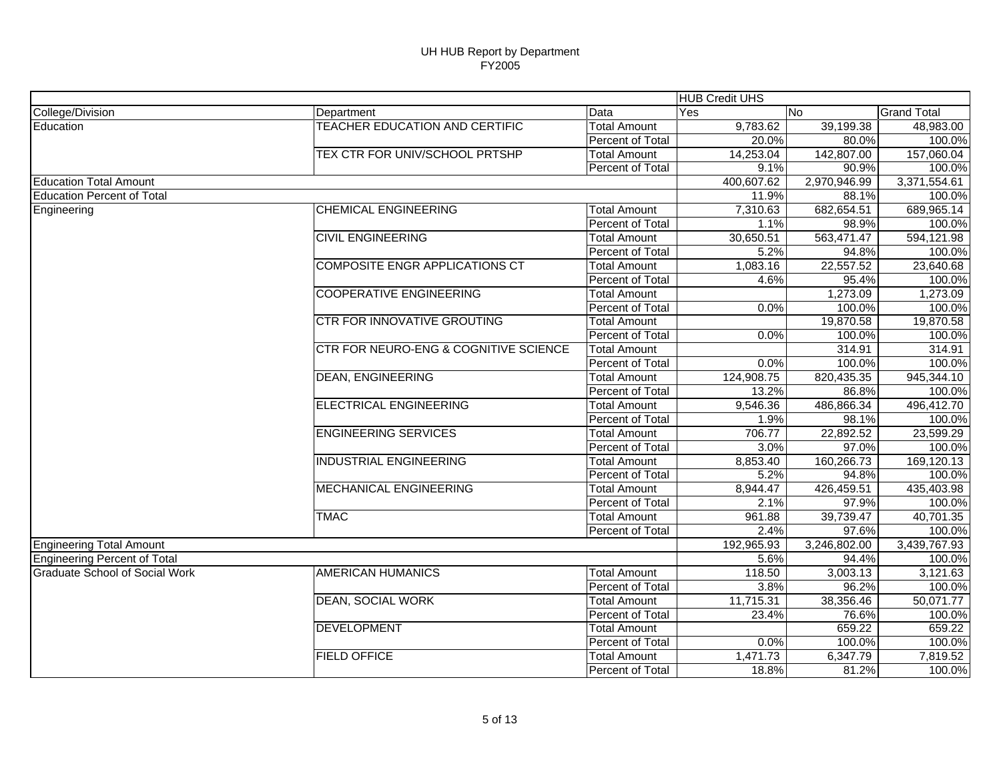|                                       |                                       |                         | <b>HUB Credit UHS</b> |              |                    |
|---------------------------------------|---------------------------------------|-------------------------|-----------------------|--------------|--------------------|
| College/Division                      | Department                            | Data                    | Yes                   | No           | <b>Grand Total</b> |
| Education                             | TEACHER EDUCATION AND CERTIFIC        | <b>Total Amount</b>     | 9,783.62              | 39,199.38    | 48,983.00          |
|                                       |                                       | <b>Percent of Total</b> | 20.0%                 | 80.0%        | 100.0%             |
|                                       | TEX CTR FOR UNIV/SCHOOL PRTSHP        | <b>Total Amount</b>     | 14,253.04             | 142,807.00   | 157,060.04         |
|                                       |                                       | Percent of Total        | 9.1%                  | 90.9%        | 100.0%             |
| <b>Education Total Amount</b>         |                                       |                         | 400,607.62            | 2,970,946.99 | 3,371,554.61       |
| <b>Education Percent of Total</b>     |                                       |                         | 11.9%                 | 88.1%        | 100.0%             |
| Engineering                           | <b>CHEMICAL ENGINEERING</b>           | <b>Total Amount</b>     | 7,310.63              | 682,654.51   | 689,965.14         |
|                                       |                                       | <b>Percent of Total</b> | 1.1%                  | 98.9%        | 100.0%             |
|                                       | <b>CIVIL ENGINEERING</b>              | <b>Total Amount</b>     | 30,650.51             | 563,471.47   | 594,121.98         |
|                                       |                                       | Percent of Total        | 5.2%                  | 94.8%        | 100.0%             |
|                                       | <b>COMPOSITE ENGR APPLICATIONS CT</b> | <b>Total Amount</b>     | 1,083.16              | 22,557.52    | 23,640.68          |
|                                       |                                       | Percent of Total        | 4.6%                  | 95.4%        | 100.0%             |
|                                       | <b>COOPERATIVE ENGINEERING</b>        | <b>Total Amount</b>     |                       | 1,273.09     | 1,273.09           |
|                                       |                                       | Percent of Total        | 0.0%                  | 100.0%       | 100.0%             |
|                                       | CTR FOR INNOVATIVE GROUTING           | <b>Total Amount</b>     |                       | 19,870.58    | 19,870.58          |
|                                       |                                       | Percent of Total        | 0.0%                  | 100.0%       | 100.0%             |
|                                       | CTR FOR NEURO-ENG & COGNITIVE SCIENCE | <b>Total Amount</b>     |                       | 314.91       | 314.91             |
|                                       |                                       | Percent of Total        | 0.0%                  | 100.0%       | 100.0%             |
|                                       | <b>DEAN, ENGINEERING</b>              | <b>Total Amount</b>     | 124,908.75            | 820,435.35   | 945,344.10         |
|                                       |                                       | Percent of Total        | 13.2%                 | 86.8%        | 100.0%             |
|                                       | <b>ELECTRICAL ENGINEERING</b>         | <b>Total Amount</b>     | 9,546.36              | 486,866.34   | 496,412.70         |
|                                       |                                       | Percent of Total        | 1.9%                  | 98.1%        | 100.0%             |
|                                       | <b>ENGINEERING SERVICES</b>           | <b>Total Amount</b>     | 706.77                | 22,892.52    | 23,599.29          |
|                                       |                                       | Percent of Total        | 3.0%                  | 97.0%        | 100.0%             |
|                                       | <b>INDUSTRIAL ENGINEERING</b>         | <b>Total Amount</b>     | 8,853.40              | 160,266.73   | 169,120.13         |
|                                       |                                       | Percent of Total        | 5.2%                  | 94.8%        | 100.0%             |
|                                       | <b>MECHANICAL ENGINEERING</b>         | <b>Total Amount</b>     | 8,944.47              | 426,459.51   | 435,403.98         |
|                                       |                                       | Percent of Total        | 2.1%                  | 97.9%        | 100.0%             |
|                                       | <b>TMAC</b>                           | <b>Total Amount</b>     | 961.88                | 39,739.47    | 40,701.35          |
|                                       |                                       | Percent of Total        | 2.4%                  | 97.6%        | 100.0%             |
| <b>Engineering Total Amount</b>       |                                       |                         | 192,965.93            | 3,246,802.00 | 3,439,767.93       |
| Engineering Percent of Total          |                                       |                         | 5.6%                  | 94.4%        | 100.0%             |
| <b>Graduate School of Social Work</b> | <b>AMERICAN HUMANICS</b>              | <b>Total Amount</b>     | 118.50                | 3,003.13     | 3,121.63           |
|                                       |                                       | <b>Percent of Total</b> | 3.8%                  | 96.2%        | 100.0%             |
|                                       | <b>DEAN, SOCIAL WORK</b>              | <b>Total Amount</b>     | 11,715.31             | 38,356.46    | 50,071.77          |
|                                       |                                       | Percent of Total        | 23.4%                 | 76.6%        | 100.0%             |
|                                       | <b>DEVELOPMENT</b>                    | <b>Total Amount</b>     |                       | 659.22       | 659.22             |
|                                       |                                       | <b>Percent of Total</b> | 0.0%                  | 100.0%       | 100.0%             |
|                                       | <b>FIELD OFFICE</b>                   | <b>Total Amount</b>     | 1,471.73              | 6,347.79     | 7,819.52           |
|                                       |                                       | Percent of Total        | 18.8%                 | 81.2%        | 100.0%             |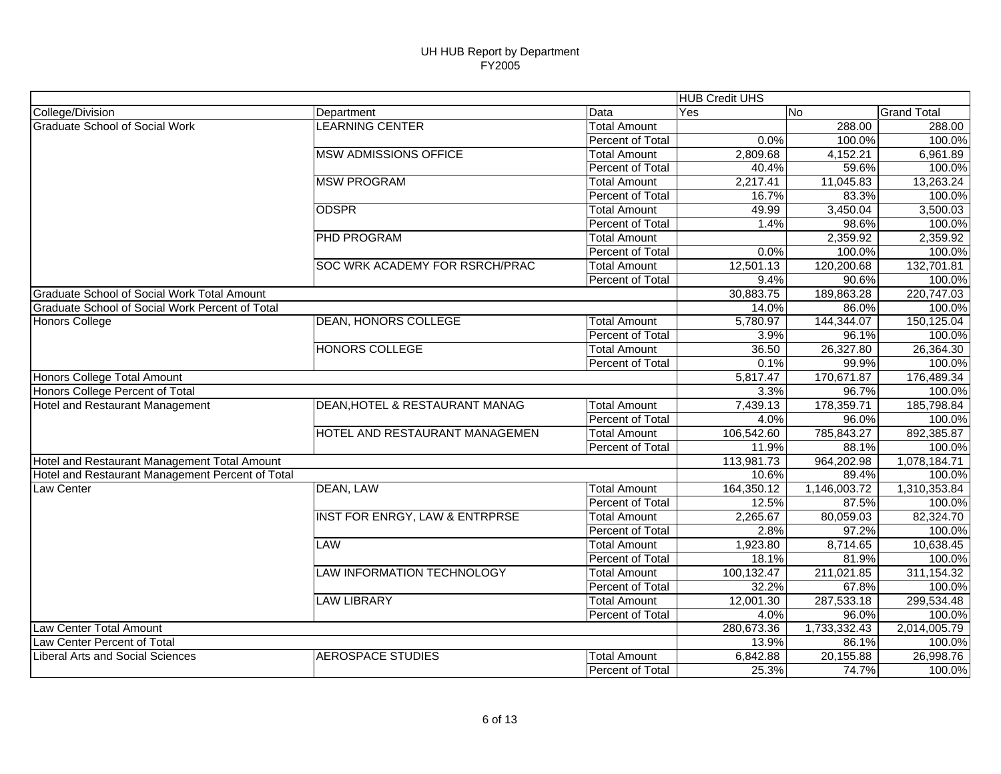|                                                  |                                           |                         | <b>HUB Credit UHS</b> |              |                    |
|--------------------------------------------------|-------------------------------------------|-------------------------|-----------------------|--------------|--------------------|
| College/Division                                 | Department                                | Data                    | Yes                   | No           | <b>Grand Total</b> |
| <b>Graduate School of Social Work</b>            | <b>LEARNING CENTER</b>                    | <b>Total Amount</b>     |                       | 288.00       | 288.00             |
|                                                  |                                           | Percent of Total        | 0.0%                  | 100.0%       | 100.0%             |
|                                                  | <b>MSW ADMISSIONS OFFICE</b>              | <b>Total Amount</b>     | 2,809.68              | 4,152.21     | 6,961.89           |
|                                                  |                                           | Percent of Total        | 40.4%                 | 59.6%        | 100.0%             |
|                                                  | <b>MSW PROGRAM</b>                        | <b>Total Amount</b>     | 2,217.41              | 11,045.83    | 13,263.24          |
|                                                  |                                           | Percent of Total        | 16.7%                 | 83.3%        | 100.0%             |
|                                                  | <b>ODSPR</b>                              | <b>Total Amount</b>     | 49.99                 | 3,450.04     | 3,500.03           |
|                                                  |                                           | Percent of Total        | 1.4%                  | 98.6%        | 100.0%             |
|                                                  | <b>PHD PROGRAM</b>                        | <b>Total Amount</b>     |                       | 2,359.92     | 2,359.92           |
|                                                  |                                           | Percent of Total        | 0.0%                  | 100.0%       | 100.0%             |
|                                                  | SOC WRK ACADEMY FOR RSRCH/PRAC            | <b>Total Amount</b>     | 12,501.13             | 120,200.68   | 132,701.81         |
|                                                  |                                           | Percent of Total        | 9.4%                  | 90.6%        | 100.0%             |
| Graduate School of Social Work Total Amount      |                                           |                         | 30,883.75             | 189,863.28   | 220,747.03         |
| Graduate School of Social Work Percent of Total  |                                           |                         | 14.0%                 | 86.0%        | 100.0%             |
| <b>Honors College</b>                            | <b>DEAN, HONORS COLLEGE</b>               | <b>Total Amount</b>     | 5,780.97              | 144,344.07   | 150,125.04         |
|                                                  |                                           | <b>Percent of Total</b> | 3.9%                  | 96.1%        | 100.0%             |
|                                                  | <b>HONORS COLLEGE</b>                     | <b>Total Amount</b>     | 36.50                 | 26,327.80    | 26,364.30          |
|                                                  |                                           | Percent of Total        | 0.1%                  | 99.9%        | 100.0%             |
| Honors College Total Amount                      |                                           |                         | 5,817.47              | 170,671.87   | 176,489.34         |
| Honors College Percent of Total                  |                                           |                         | 3.3%                  | 96.7%        | 100.0%             |
| Hotel and Restaurant Management                  | <b>DEAN, HOTEL &amp; RESTAURANT MANAG</b> | <b>Total Amount</b>     | 7,439.13              | 178,359.71   | 185,798.84         |
|                                                  |                                           | Percent of Total        | 4.0%                  | 96.0%        | 100.0%             |
|                                                  | HOTEL AND RESTAURANT MANAGEMEN            | <b>Total Amount</b>     | 106,542.60            | 785,843.27   | 892,385.87         |
|                                                  |                                           | Percent of Total        | 11.9%                 | 88.1%        | 100.0%             |
| Hotel and Restaurant Management Total Amount     |                                           |                         | 113,981.73            | 964,202.98   | 1,078,184.71       |
| Hotel and Restaurant Management Percent of Total |                                           |                         | 10.6%                 | 89.4%        | 100.0%             |
| Law Center                                       | DEAN, LAW                                 | <b>Total Amount</b>     | 164,350.12            | 1,146,003.72 | 1,310,353.84       |
|                                                  |                                           | Percent of Total        | 12.5%                 | 87.5%        | 100.0%             |
|                                                  | <b>INST FOR ENRGY, LAW &amp; ENTRPRSE</b> | <b>Total Amount</b>     | 2,265.67              | 80,059.03    | 82,324.70          |
|                                                  |                                           | Percent of Total        | 2.8%                  | 97.2%        | 100.0%             |
|                                                  | <b>LAW</b>                                | <b>Total Amount</b>     | 1,923.80              | 8,714.65     | 10,638.45          |
|                                                  |                                           | Percent of Total        | 18.1%                 | 81.9%        | 100.0%             |
|                                                  | <b>LAW INFORMATION TECHNOLOGY</b>         | <b>Total Amount</b>     | 100,132.47            | 211,021.85   | 311,154.32         |
|                                                  |                                           | Percent of Total        | 32.2%                 | 67.8%        | 100.0%             |
|                                                  | <b>LAW LIBRARY</b>                        | <b>Total Amount</b>     | 12,001.30             | 287,533.18   | 299,534.48         |
|                                                  |                                           | Percent of Total        | 4.0%                  | 96.0%        | 100.0%             |
| Law Center Total Amount                          |                                           |                         | 280,673.36            | 1,733,332.43 | 2,014,005.79       |
| Law Center Percent of Total                      |                                           |                         | 13.9%                 | 86.1%        | 100.0%             |
| <b>Liberal Arts and Social Sciences</b>          | <b>AEROSPACE STUDIES</b>                  | Total Amount            | 6,842.88              | 20,155.88    | 26,998.76          |
|                                                  |                                           | Percent of Total        | 25.3%                 | 74.7%        | 100.0%             |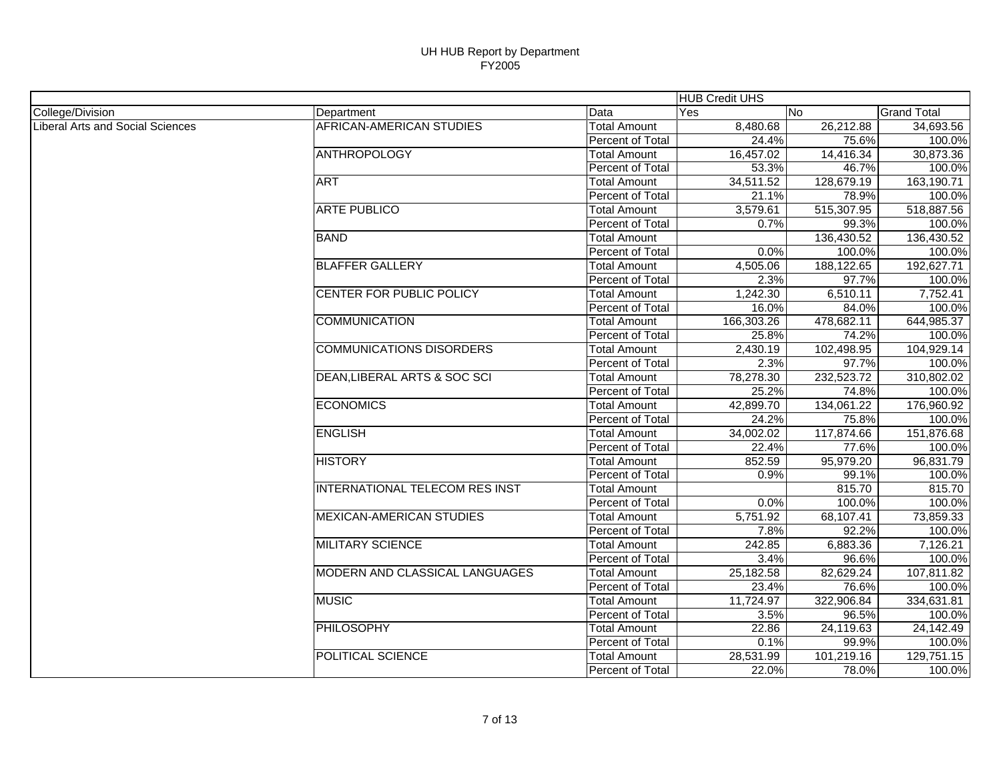|                                  |                                       |                     | <b>HUB Credit UHS</b> |                        |                    |
|----------------------------------|---------------------------------------|---------------------|-----------------------|------------------------|--------------------|
| College/Division                 | Department                            | Data                | Yes                   | No                     | <b>Grand Total</b> |
| Liberal Arts and Social Sciences | <b>AFRICAN-AMERICAN STUDIES</b>       | <b>Total Amount</b> | 8,480.68              | 26,212.88              | 34,693.56          |
|                                  |                                       | Percent of Total    | 24.4%                 | 75.6%                  | 100.0%             |
|                                  | <b>ANTHROPOLOGY</b>                   | <b>Total Amount</b> | 16,457.02             | 14,416.34              | 30,873.36          |
|                                  |                                       | Percent of Total    | 53.3%                 | 46.7%                  | 100.0%             |
|                                  | <b>ART</b>                            | <b>Total Amount</b> | 34,511.52             | 128,679.19             | 163,190.71         |
|                                  |                                       | Percent of Total    | 21.1%                 | 78.9%                  | 100.0%             |
|                                  | <b>ARTE PUBLICO</b>                   | <b>Total Amount</b> | 3,579.61              | 515,307.95             | 518,887.56         |
|                                  |                                       | Percent of Total    | 0.7%                  | 99.3%                  | 100.0%             |
|                                  | <b>BAND</b>                           | <b>Total Amount</b> |                       | 136,430.52             | 136,430.52         |
|                                  |                                       | Percent of Total    | 0.0%                  | 100.0%                 | 100.0%             |
|                                  | <b>BLAFFER GALLERY</b>                | <b>Total Amount</b> | 4,505.06              | 188,122.65             | 192,627.71         |
|                                  |                                       | Percent of Total    | 2.3%                  | 97.7%                  | 100.0%             |
|                                  | CENTER FOR PUBLIC POLICY              | <b>Total Amount</b> | 1,242.30              | 6,510.11               | 7,752.41           |
|                                  |                                       | Percent of Total    | 16.0%                 | 84.0%                  | 100.0%             |
|                                  | <b>COMMUNICATION</b>                  | <b>Total Amount</b> | 166,303.26            | 478,682.11             | 644,985.37         |
|                                  |                                       | Percent of Total    | 25.8%                 | 74.2%                  | 100.0%             |
|                                  | <b>COMMUNICATIONS DISORDERS</b>       | <b>Total Amount</b> | 2,430.19              | 102,498.95             | 104,929.14         |
|                                  |                                       | Percent of Total    | 2.3%                  | 97.7%                  | 100.0%             |
|                                  | DEAN, LIBERAL ARTS & SOC SCI          | <b>Total Amount</b> | 78,278.30             | 232,523.72             | 310,802.02         |
|                                  |                                       | Percent of Total    | 25.2%                 | 74.8%                  | 100.0%             |
|                                  | <b>ECONOMICS</b>                      | <b>Total Amount</b> | 42,899.70             | 134,061.22             | 176,960.92         |
|                                  |                                       | Percent of Total    | 24.2%                 | 75.8%                  | 100.0%             |
|                                  | <b>ENGLISH</b>                        | <b>Total Amount</b> | 34,002.02             | 117,874.66             | 151,876.68         |
|                                  |                                       | Percent of Total    | 22.4%                 | 77.6%                  | 100.0%             |
|                                  | <b>HISTORY</b>                        | <b>Total Amount</b> | 852.59                | 95,979.20              | 96,831.79          |
|                                  |                                       | Percent of Total    | 0.9%                  | 99.1%                  | 100.0%             |
|                                  | <b>INTERNATIONAL TELECOM RES INST</b> | <b>Total Amount</b> |                       | 815.70                 | 815.70             |
|                                  |                                       | Percent of Total    | 0.0%                  | 100.0%                 | 100.0%             |
|                                  | <b>MEXICAN-AMERICAN STUDIES</b>       | <b>Total Amount</b> | 5,751.92              | 68,107.41              | 73,859.33          |
|                                  |                                       | Percent of Total    | 7.8%                  | 92.2%                  | 100.0%             |
|                                  | <b>MILITARY SCIENCE</b>               | <b>Total Amount</b> | 242.85                | 6,883.36               | 7,126.21           |
|                                  |                                       | Percent of Total    | 3.4%                  | 96.6%                  | 100.0%             |
|                                  | MODERN AND CLASSICAL LANGUAGES        | <b>Total Amount</b> | 25,182.58             | 82,629.24              | 107,811.82         |
|                                  |                                       | Percent of Total    | 23.4%                 | 76.6%                  | 100.0%             |
|                                  | <b>MUSIC</b>                          | <b>Total Amount</b> | 11,724.97             | 322,906.84             | 334,631.81         |
|                                  |                                       | Percent of Total    | 3.5%                  | 96.5%                  | 100.0%             |
|                                  | <b>PHILOSOPHY</b>                     | <b>Total Amount</b> | 22.86                 | $\overline{24,119.63}$ | 24,142.49          |
|                                  |                                       | Percent of Total    | 0.1%                  | 99.9%                  | 100.0%             |
|                                  | POLITICAL SCIENCE                     | <b>Total Amount</b> | 28,531.99             | 101,219.16             | 129,751.15         |
|                                  |                                       | Percent of Total    | 22.0%                 | 78.0%                  | 100.0%             |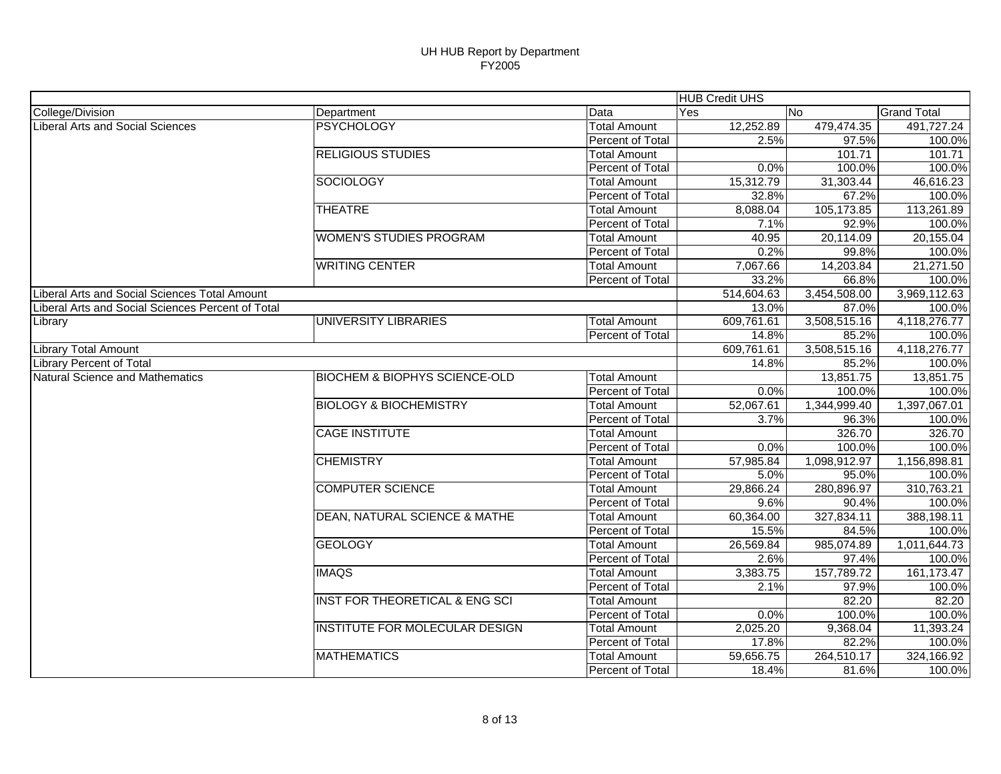|                                                   |                                           |                     | <b>HUB Credit UHS</b> |              |                    |
|---------------------------------------------------|-------------------------------------------|---------------------|-----------------------|--------------|--------------------|
| College/Division                                  | Department                                | Data                | Yes                   | <b>No</b>    | <b>Grand Total</b> |
| <b>Liberal Arts and Social Sciences</b>           | <b>PSYCHOLOGY</b>                         | <b>Total Amount</b> | 12,252.89             | 479,474.35   | 491,727.24         |
|                                                   |                                           | Percent of Total    | 2.5%                  | 97.5%        | 100.0%             |
|                                                   | <b>RELIGIOUS STUDIES</b>                  | <b>Total Amount</b> |                       | 101.71       | 101.71             |
|                                                   |                                           | Percent of Total    | 0.0%                  | 100.0%       | 100.0%             |
|                                                   | <b>SOCIOLOGY</b>                          | <b>Total Amount</b> | 15,312.79             | 31,303.44    | 46,616.23          |
|                                                   |                                           | Percent of Total    | 32.8%                 | 67.2%        | 100.0%             |
|                                                   | <b>THEATRE</b>                            | <b>Total Amount</b> | 8,088.04              | 105,173.85   | 113,261.89         |
|                                                   |                                           | Percent of Total    | 7.1%                  | 92.9%        | 100.0%             |
|                                                   | <b>WOMEN'S STUDIES PROGRAM</b>            | <b>Total Amount</b> | 40.95                 | 20,114.09    | 20,155.04          |
|                                                   |                                           | Percent of Total    | 0.2%                  | 99.8%        | 100.0%             |
|                                                   | <b>WRITING CENTER</b>                     | <b>Total Amount</b> | 7,067.66              | 14,203.84    | 21,271.50          |
|                                                   |                                           | Percent of Total    | 33.2%                 | 66.8%        | 100.0%             |
| Liberal Arts and Social Sciences Total Amount     |                                           |                     | 514,604.63            | 3,454,508.00 | 3,969,112.63       |
| Liberal Arts and Social Sciences Percent of Total |                                           |                     | 13.0%                 | 87.0%        | 100.0%             |
| Library                                           | UNIVERSITY LIBRARIES                      | <b>Total Amount</b> | 609,761.61            | 3,508,515.16 | 4,118,276.77       |
|                                                   |                                           | Percent of Total    | 14.8%                 | 85.2%        | 100.0%             |
| <b>Library Total Amount</b>                       |                                           |                     | 609,761.61            | 3,508,515.16 | 4,118,276.77       |
| <b>Library Percent of Total</b>                   |                                           |                     | 14.8%                 | 85.2%        | 100.0%             |
| Natural Science and Mathematics                   | <b>BIOCHEM &amp; BIOPHYS SCIENCE-OLD</b>  | <b>Total Amount</b> |                       | 13,851.75    | 13,851.75          |
|                                                   |                                           | Percent of Total    | 0.0%                  | 100.0%       | 100.0%             |
|                                                   | <b>BIOLOGY &amp; BIOCHEMISTRY</b>         | <b>Total Amount</b> | 52,067.61             | 1,344,999.40 | 1,397,067.01       |
|                                                   |                                           | Percent of Total    | 3.7%                  | 96.3%        | 100.0%             |
|                                                   | <b>CAGE INSTITUTE</b>                     | <b>Total Amount</b> |                       | 326.70       | 326.70             |
|                                                   |                                           | Percent of Total    | 0.0%                  | 100.0%       | 100.0%             |
|                                                   | <b>CHEMISTRY</b>                          | <b>Total Amount</b> | 57,985.84             | 1,098,912.97 | 1,156,898.81       |
|                                                   |                                           | Percent of Total    | 5.0%                  | 95.0%        | 100.0%             |
|                                                   | <b>COMPUTER SCIENCE</b>                   | <b>Total Amount</b> | 29,866.24             | 280,896.97   | 310,763.21         |
|                                                   |                                           | Percent of Total    | 9.6%                  | 90.4%        | 100.0%             |
|                                                   | <b>DEAN, NATURAL SCIENCE &amp; MATHE</b>  | <b>Total Amount</b> | 60,364.00             | 327,834.11   | 388,198.11         |
|                                                   |                                           | Percent of Total    | 15.5%                 | 84.5%        | 100.0%             |
|                                                   | <b>GEOLOGY</b>                            | <b>Total Amount</b> | 26,569.84             | 985,074.89   | 1,011,644.73       |
|                                                   |                                           | Percent of Total    | 2.6%                  | 97.4%        | 100.0%             |
|                                                   | <b>IMAQS</b>                              | <b>Total Amount</b> | 3,383.75              | 157,789.72   | 161,173.47         |
|                                                   |                                           | Percent of Total    | 2.1%                  | 97.9%        | 100.0%             |
|                                                   | <b>INST FOR THEORETICAL &amp; ENG SCI</b> | Total Amount        |                       | 82.20        | 82.20              |
|                                                   |                                           | Percent of Total    | 0.0%                  | 100.0%       | 100.0%             |
|                                                   | INSTITUTE FOR MOLECULAR DESIGN            | <b>Total Amount</b> | 2,025.20              | 9,368.04     | 11,393.24          |
|                                                   |                                           | Percent of Total    | 17.8%                 | 82.2%        | 100.0%             |
|                                                   | <b>MATHEMATICS</b>                        | <b>Total Amount</b> | 59,656.75             | 264,510.17   | 324,166.92         |
|                                                   |                                           | Percent of Total    | 18.4%                 | 81.6%        | 100.0%             |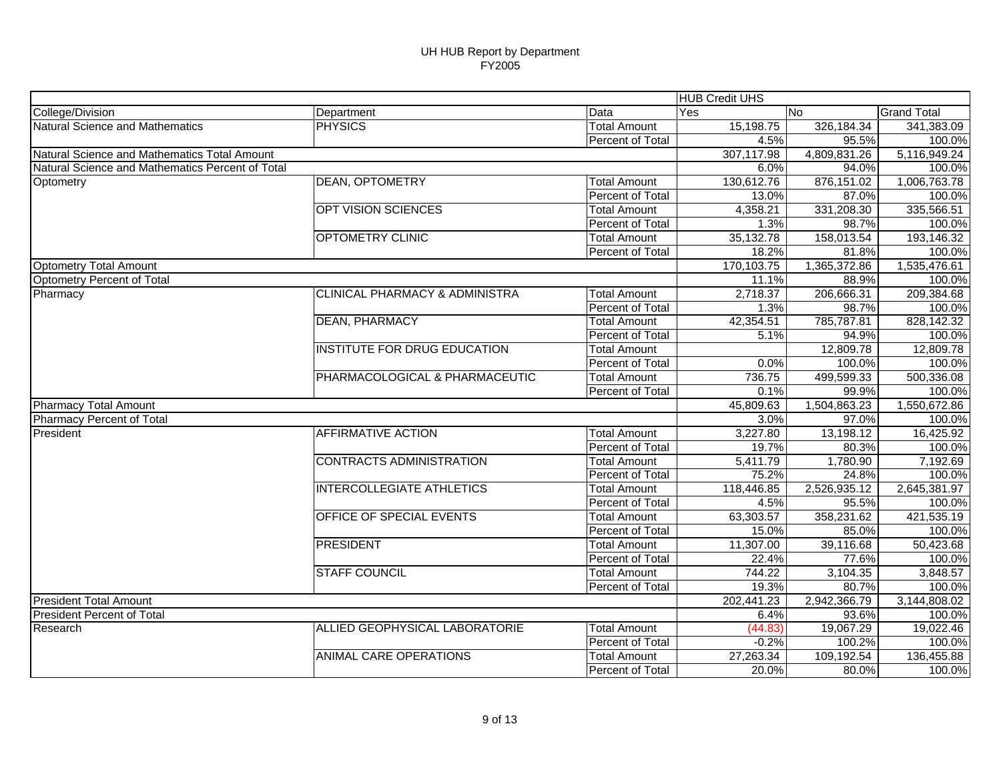|                                                  |                                           |                     | <b>HUB Credit UHS</b>                                                                                                                                                                                                                                                                                                                                                                                                                                                                                                                                                                                                                                                                                                                                                                       |              |                    |
|--------------------------------------------------|-------------------------------------------|---------------------|---------------------------------------------------------------------------------------------------------------------------------------------------------------------------------------------------------------------------------------------------------------------------------------------------------------------------------------------------------------------------------------------------------------------------------------------------------------------------------------------------------------------------------------------------------------------------------------------------------------------------------------------------------------------------------------------------------------------------------------------------------------------------------------------|--------------|--------------------|
| College/Division                                 | Department                                | Data                | Yes                                                                                                                                                                                                                                                                                                                                                                                                                                                                                                                                                                                                                                                                                                                                                                                         |              | <b>Grand Total</b> |
| Natural Science and Mathematics                  | <b>PHYSICS</b>                            | <b>Total Amount</b> | 15,198.75                                                                                                                                                                                                                                                                                                                                                                                                                                                                                                                                                                                                                                                                                                                                                                                   | 326,184.34   | 341,383.09         |
|                                                  |                                           | Percent of Total    |                                                                                                                                                                                                                                                                                                                                                                                                                                                                                                                                                                                                                                                                                                                                                                                             |              | 100.0%             |
| Natural Science and Mathematics Total Amount     |                                           |                     | 307,117.98                                                                                                                                                                                                                                                                                                                                                                                                                                                                                                                                                                                                                                                                                                                                                                                  | 4,809,831.26 | 5,116,949.24       |
| Natural Science and Mathematics Percent of Total |                                           |                     |                                                                                                                                                                                                                                                                                                                                                                                                                                                                                                                                                                                                                                                                                                                                                                                             |              | 100.0%             |
| Optometry                                        | <b>DEAN, OPTOMETRY</b>                    | <b>Total Amount</b> | 130,612.76                                                                                                                                                                                                                                                                                                                                                                                                                                                                                                                                                                                                                                                                                                                                                                                  | 876,151.02   | 1,006,763.78       |
|                                                  |                                           | Percent of Total    |                                                                                                                                                                                                                                                                                                                                                                                                                                                                                                                                                                                                                                                                                                                                                                                             |              | 100.0%             |
|                                                  | OPT VISION SCIENCES                       | <b>Total Amount</b> | 4,358.21                                                                                                                                                                                                                                                                                                                                                                                                                                                                                                                                                                                                                                                                                                                                                                                    | 331,208.30   | 335,566.51         |
|                                                  |                                           | Percent of Total    |                                                                                                                                                                                                                                                                                                                                                                                                                                                                                                                                                                                                                                                                                                                                                                                             |              | 100.0%             |
|                                                  | <b>OPTOMETRY CLINIC</b>                   | <b>Total Amount</b> |                                                                                                                                                                                                                                                                                                                                                                                                                                                                                                                                                                                                                                                                                                                                                                                             | 158,013.54   | 193,146.32         |
|                                                  |                                           | Percent of Total    |                                                                                                                                                                                                                                                                                                                                                                                                                                                                                                                                                                                                                                                                                                                                                                                             |              | 100.0%             |
| <b>Optometry Total Amount</b>                    |                                           |                     | 170,103.75                                                                                                                                                                                                                                                                                                                                                                                                                                                                                                                                                                                                                                                                                                                                                                                  |              | 1,535,476.61       |
| Optometry Percent of Total                       |                                           |                     |                                                                                                                                                                                                                                                                                                                                                                                                                                                                                                                                                                                                                                                                                                                                                                                             |              | 100.0%             |
| Pharmacy                                         | <b>CLINICAL PHARMACY &amp; ADMINISTRA</b> | <b>Total Amount</b> | 2,718.37                                                                                                                                                                                                                                                                                                                                                                                                                                                                                                                                                                                                                                                                                                                                                                                    | 206,666.31   | 209,384.68         |
|                                                  |                                           | Percent of Total    |                                                                                                                                                                                                                                                                                                                                                                                                                                                                                                                                                                                                                                                                                                                                                                                             |              | 100.0%             |
|                                                  | <b>DEAN, PHARMACY</b>                     | <b>Total Amount</b> | 42,354.51                                                                                                                                                                                                                                                                                                                                                                                                                                                                                                                                                                                                                                                                                                                                                                                   | 785,787.81   | 828,142.32         |
|                                                  |                                           | Percent of Total    |                                                                                                                                                                                                                                                                                                                                                                                                                                                                                                                                                                                                                                                                                                                                                                                             |              | 100.0%             |
|                                                  | <b>INSTITUTE FOR DRUG EDUCATION</b>       | <b>Total Amount</b> |                                                                                                                                                                                                                                                                                                                                                                                                                                                                                                                                                                                                                                                                                                                                                                                             | 12,809.78    | 12,809.78          |
|                                                  |                                           | Percent of Total    |                                                                                                                                                                                                                                                                                                                                                                                                                                                                                                                                                                                                                                                                                                                                                                                             |              | 100.0%             |
|                                                  | PHARMACOLOGICAL & PHARMACEUTIC            | <b>Total Amount</b> | 736.75                                                                                                                                                                                                                                                                                                                                                                                                                                                                                                                                                                                                                                                                                                                                                                                      | 499,599.33   | 500,336.08         |
|                                                  |                                           | Percent of Total    |                                                                                                                                                                                                                                                                                                                                                                                                                                                                                                                                                                                                                                                                                                                                                                                             |              | 100.0%             |
| Pharmacy Total Amount                            |                                           |                     | 45,809.63                                                                                                                                                                                                                                                                                                                                                                                                                                                                                                                                                                                                                                                                                                                                                                                   | 1,504,863.23 | 1,550,672.86       |
| <b>Pharmacy Percent of Total</b>                 |                                           |                     |                                                                                                                                                                                                                                                                                                                                                                                                                                                                                                                                                                                                                                                                                                                                                                                             |              | 100.0%             |
| President                                        | <b>AFFIRMATIVE ACTION</b>                 | <b>Total Amount</b> | 3,227.80                                                                                                                                                                                                                                                                                                                                                                                                                                                                                                                                                                                                                                                                                                                                                                                    | 13,198.12    | 16,425.92          |
|                                                  |                                           | Percent of Total    |                                                                                                                                                                                                                                                                                                                                                                                                                                                                                                                                                                                                                                                                                                                                                                                             |              | 100.0%             |
|                                                  | <b>CONTRACTS ADMINISTRATION</b>           | <b>Total Amount</b> | 5,411.79                                                                                                                                                                                                                                                                                                                                                                                                                                                                                                                                                                                                                                                                                                                                                                                    | 1,780.90     | 7,192.69           |
|                                                  |                                           | Percent of Total    |                                                                                                                                                                                                                                                                                                                                                                                                                                                                                                                                                                                                                                                                                                                                                                                             |              | 100.0%             |
|                                                  | <b>INTERCOLLEGIATE ATHLETICS</b>          | <b>Total Amount</b> | 118,446.85                                                                                                                                                                                                                                                                                                                                                                                                                                                                                                                                                                                                                                                                                                                                                                                  | 2,526,935.12 | 2,645,381.97       |
|                                                  |                                           | Percent of Total    | No<br>4.5%<br>95.5%<br>6.0%<br>94.0%<br>13.0%<br>87.0%<br>98.7%<br>1.3%<br>35,132.78<br>18.2%<br>81.8%<br>1,365,372.86<br>88.9%<br>11.1%<br>1.3%<br>98.7%<br>5.1%<br>94.9%<br>100.0%<br>0.0%<br>99.9%<br>0.1%<br>3.0%<br>97.0%<br>19.7%<br>80.3%<br>24.8%<br>75.2%<br>4.5%<br>95.5%<br><b>Total Amount</b><br>63,303.57<br>358,231.62<br>Percent of Total<br>15.0%<br>85.0%<br>11,307.00<br>39,116.68<br><b>Total Amount</b><br>Percent of Total<br>22.4%<br>77.6%<br><b>Total Amount</b><br>744.22<br>3,104.35<br>19.3%<br>80.7%<br>Percent of Total<br>2,942,366.79<br>202,441.23<br>6.4%<br>93.6%<br><b>Total Amount</b><br>(44.83)<br>19,067.29<br><b>Percent of Total</b><br>$-0.2%$<br>100.2%<br><b>Total Amount</b><br>27,263.34<br>109,192.54<br>20.0%<br>Percent of Total<br>80.0% | 100.0%       |                    |
|                                                  | OFFICE OF SPECIAL EVENTS                  |                     |                                                                                                                                                                                                                                                                                                                                                                                                                                                                                                                                                                                                                                                                                                                                                                                             |              | 421,535.19         |
|                                                  |                                           |                     |                                                                                                                                                                                                                                                                                                                                                                                                                                                                                                                                                                                                                                                                                                                                                                                             |              | 100.0%             |
|                                                  | <b>PRESIDENT</b>                          |                     |                                                                                                                                                                                                                                                                                                                                                                                                                                                                                                                                                                                                                                                                                                                                                                                             |              | 50,423.68          |
|                                                  |                                           |                     |                                                                                                                                                                                                                                                                                                                                                                                                                                                                                                                                                                                                                                                                                                                                                                                             |              | 100.0%             |
|                                                  | <b>STAFF COUNCIL</b>                      |                     |                                                                                                                                                                                                                                                                                                                                                                                                                                                                                                                                                                                                                                                                                                                                                                                             |              | 3,848.57           |
|                                                  |                                           |                     |                                                                                                                                                                                                                                                                                                                                                                                                                                                                                                                                                                                                                                                                                                                                                                                             |              | 100.0%             |
| <b>President Total Amount</b>                    |                                           |                     |                                                                                                                                                                                                                                                                                                                                                                                                                                                                                                                                                                                                                                                                                                                                                                                             |              | 3,144,808.02       |
| <b>President Percent of Total</b>                |                                           |                     |                                                                                                                                                                                                                                                                                                                                                                                                                                                                                                                                                                                                                                                                                                                                                                                             |              | 100.0%             |
| Research                                         | ALLIED GEOPHYSICAL LABORATORIE            |                     |                                                                                                                                                                                                                                                                                                                                                                                                                                                                                                                                                                                                                                                                                                                                                                                             |              | 19,022.46          |
|                                                  |                                           |                     |                                                                                                                                                                                                                                                                                                                                                                                                                                                                                                                                                                                                                                                                                                                                                                                             |              | 100.0%             |
|                                                  | <b>ANIMAL CARE OPERATIONS</b>             |                     |                                                                                                                                                                                                                                                                                                                                                                                                                                                                                                                                                                                                                                                                                                                                                                                             |              | 136,455.88         |
|                                                  |                                           |                     |                                                                                                                                                                                                                                                                                                                                                                                                                                                                                                                                                                                                                                                                                                                                                                                             |              | 100.0%             |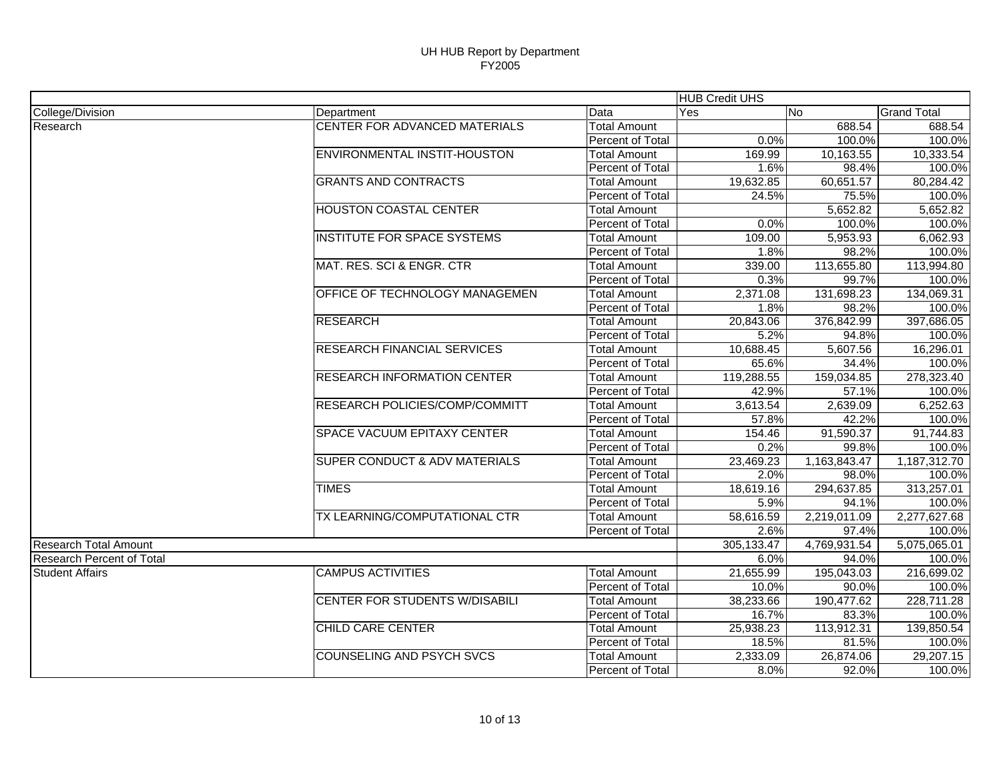| College/Division<br>Data<br>No.<br><b>Grand Total</b><br>Yes<br>Department<br>CENTER FOR ADVANCED MATERIALS<br>688.54<br><b>Total Amount</b><br>Percent of Total<br>0.0%<br>100.0%<br>ENVIRONMENTAL INSTIT-HOUSTON<br><b>Total Amount</b><br>169.99<br>10,163.55<br>1.6%<br>98.4%<br>Percent of Total<br><b>GRANTS AND CONTRACTS</b><br>Total Amount<br>19,632.85<br>60,651.57<br>Percent of Total<br>24.5%<br>75.5%<br><b>HOUSTON COASTAL CENTER</b><br><b>Total Amount</b><br>5,652.82<br>Percent of Total<br>0.0%<br>100.0%<br><b>INSTITUTE FOR SPACE SYSTEMS</b><br><b>Total Amount</b><br>109.00<br>5,953.93<br>Percent of Total<br>1.8%<br>98.2%<br>MAT. RES. SCI & ENGR. CTR<br>113,655.80<br><b>Total Amount</b><br>339.00<br>0.3%<br>Percent of Total<br>99.7%<br>OFFICE OF TECHNOLOGY MANAGEMEN<br>131,698.23<br><b>Total Amount</b><br>2,371.08<br>Percent of Total<br>1.8%<br>98.2%<br>376,842.99<br><b>RESEARCH</b><br><b>Total Amount</b><br>20,843.06<br>Percent of Total<br>5.2%<br>94.8%<br><b>RESEARCH FINANCIAL SERVICES</b><br><b>Total Amount</b><br>10,688.45<br>5,607.56<br>16,296.01<br>Percent of Total<br>65.6%<br>34.4%<br><b>RESEARCH INFORMATION CENTER</b><br>119,288.55<br>159,034.85<br><b>Total Amount</b><br>Percent of Total<br>57.1%<br>42.9%<br>RESEARCH POLICIES/COMP/COMMITT<br>2,639.09<br><b>Total Amount</b><br>3,613.54<br>42.2%<br>Percent of Total<br>57.8%<br>SPACE VACUUM EPITAXY CENTER<br>154.46<br>91,590.37<br><b>Total Amount</b><br>Percent of Total<br>0.2%<br>99.8%<br><b>SUPER CONDUCT &amp; ADV MATERIALS</b><br>23,469.23<br>1,163,843.47<br>Total Amount<br>Percent of Total<br>2.0%<br>98.0%<br><b>TIMES</b><br>313,257.01<br>18,619.16<br>294,637.85<br><b>Total Amount</b><br>Percent of Total<br>5.9%<br>94.1%<br>TX LEARNING/COMPUTATIONAL CTR<br>2,219,011.09<br>2,277,627.68<br><b>Total Amount</b><br>58,616.59<br>2.6%<br>Percent of Total<br>97.4%<br>4,769,931.54<br>5,075,065.01<br>305,133.47<br>Research Percent of Total<br>6.0%<br>94.0%<br><b>CAMPUS ACTIVITIES</b><br><b>Total Amount</b><br>21,655.99<br>195,043.03<br><b>Student Affairs</b><br><b>Percent of Total</b><br>10.0%<br>90.0%<br><b>CENTER FOR STUDENTS W/DISABILI</b><br>38,233.66<br><b>Total Amount</b><br>190,477.62<br>Percent of Total<br>16.7%<br>83.3%<br><b>CHILD CARE CENTER</b><br>25,938.23<br>113,912.31<br><b>Total Amount</b><br>18.5%<br>Percent of Total<br>81.5%<br><b>COUNSELING AND PSYCH SVCS</b><br><b>Total Amount</b><br>2,333.09<br>26,874.06<br>Percent of Total<br>8.0%<br>92.0% |                              |  | <b>HUB Credit UHS</b> |        |
|--------------------------------------------------------------------------------------------------------------------------------------------------------------------------------------------------------------------------------------------------------------------------------------------------------------------------------------------------------------------------------------------------------------------------------------------------------------------------------------------------------------------------------------------------------------------------------------------------------------------------------------------------------------------------------------------------------------------------------------------------------------------------------------------------------------------------------------------------------------------------------------------------------------------------------------------------------------------------------------------------------------------------------------------------------------------------------------------------------------------------------------------------------------------------------------------------------------------------------------------------------------------------------------------------------------------------------------------------------------------------------------------------------------------------------------------------------------------------------------------------------------------------------------------------------------------------------------------------------------------------------------------------------------------------------------------------------------------------------------------------------------------------------------------------------------------------------------------------------------------------------------------------------------------------------------------------------------------------------------------------------------------------------------------------------------------------------------------------------------------------------------------------------------------------------------------------------------------------------------------------------------------------------------------------------------------------------------------------------------------------------------------------------------------------------------------------------------------------------------------------------------------------------------------------------|------------------------------|--|-----------------------|--------|
|                                                                                                                                                                                                                                                                                                                                                                                                                                                                                                                                                                                                                                                                                                                                                                                                                                                                                                                                                                                                                                                                                                                                                                                                                                                                                                                                                                                                                                                                                                                                                                                                                                                                                                                                                                                                                                                                                                                                                                                                                                                                                                                                                                                                                                                                                                                                                                                                                                                                                                                                                        |                              |  |                       |        |
| 100.0%<br>10,333.54<br>100.0%<br>80.284.42<br>100.0%<br>5,652.82<br>100.0%<br>6,062.93<br>100.0%<br>113,994.80<br>100.0%<br>134,069.31<br>100.0%<br>397,686.05<br>100.0%<br>100.0%<br>278,323.40<br>100.0%<br>6,252.63<br>100.0%<br>91,744.83<br>100.0%<br>1,187,312.70<br>100.0%<br>100.0%<br>100.0%<br>100.0%<br>216,699.02<br>100.0%<br>228,711.28<br>100.0%<br>139,850.54<br>100.0%<br>29,207.15<br>100.0%                                                                                                                                                                                                                                                                                                                                                                                                                                                                                                                                                                                                                                                                                                                                                                                                                                                                                                                                                                                                                                                                                                                                                                                                                                                                                                                                                                                                                                                                                                                                                                                                                                                                                                                                                                                                                                                                                                                                                                                                                                                                                                                                         | Research                     |  |                       | 688.54 |
|                                                                                                                                                                                                                                                                                                                                                                                                                                                                                                                                                                                                                                                                                                                                                                                                                                                                                                                                                                                                                                                                                                                                                                                                                                                                                                                                                                                                                                                                                                                                                                                                                                                                                                                                                                                                                                                                                                                                                                                                                                                                                                                                                                                                                                                                                                                                                                                                                                                                                                                                                        |                              |  |                       |        |
|                                                                                                                                                                                                                                                                                                                                                                                                                                                                                                                                                                                                                                                                                                                                                                                                                                                                                                                                                                                                                                                                                                                                                                                                                                                                                                                                                                                                                                                                                                                                                                                                                                                                                                                                                                                                                                                                                                                                                                                                                                                                                                                                                                                                                                                                                                                                                                                                                                                                                                                                                        |                              |  |                       |        |
|                                                                                                                                                                                                                                                                                                                                                                                                                                                                                                                                                                                                                                                                                                                                                                                                                                                                                                                                                                                                                                                                                                                                                                                                                                                                                                                                                                                                                                                                                                                                                                                                                                                                                                                                                                                                                                                                                                                                                                                                                                                                                                                                                                                                                                                                                                                                                                                                                                                                                                                                                        |                              |  |                       |        |
|                                                                                                                                                                                                                                                                                                                                                                                                                                                                                                                                                                                                                                                                                                                                                                                                                                                                                                                                                                                                                                                                                                                                                                                                                                                                                                                                                                                                                                                                                                                                                                                                                                                                                                                                                                                                                                                                                                                                                                                                                                                                                                                                                                                                                                                                                                                                                                                                                                                                                                                                                        |                              |  |                       |        |
|                                                                                                                                                                                                                                                                                                                                                                                                                                                                                                                                                                                                                                                                                                                                                                                                                                                                                                                                                                                                                                                                                                                                                                                                                                                                                                                                                                                                                                                                                                                                                                                                                                                                                                                                                                                                                                                                                                                                                                                                                                                                                                                                                                                                                                                                                                                                                                                                                                                                                                                                                        |                              |  |                       |        |
|                                                                                                                                                                                                                                                                                                                                                                                                                                                                                                                                                                                                                                                                                                                                                                                                                                                                                                                                                                                                                                                                                                                                                                                                                                                                                                                                                                                                                                                                                                                                                                                                                                                                                                                                                                                                                                                                                                                                                                                                                                                                                                                                                                                                                                                                                                                                                                                                                                                                                                                                                        |                              |  |                       |        |
|                                                                                                                                                                                                                                                                                                                                                                                                                                                                                                                                                                                                                                                                                                                                                                                                                                                                                                                                                                                                                                                                                                                                                                                                                                                                                                                                                                                                                                                                                                                                                                                                                                                                                                                                                                                                                                                                                                                                                                                                                                                                                                                                                                                                                                                                                                                                                                                                                                                                                                                                                        |                              |  |                       |        |
|                                                                                                                                                                                                                                                                                                                                                                                                                                                                                                                                                                                                                                                                                                                                                                                                                                                                                                                                                                                                                                                                                                                                                                                                                                                                                                                                                                                                                                                                                                                                                                                                                                                                                                                                                                                                                                                                                                                                                                                                                                                                                                                                                                                                                                                                                                                                                                                                                                                                                                                                                        |                              |  |                       |        |
|                                                                                                                                                                                                                                                                                                                                                                                                                                                                                                                                                                                                                                                                                                                                                                                                                                                                                                                                                                                                                                                                                                                                                                                                                                                                                                                                                                                                                                                                                                                                                                                                                                                                                                                                                                                                                                                                                                                                                                                                                                                                                                                                                                                                                                                                                                                                                                                                                                                                                                                                                        |                              |  |                       |        |
|                                                                                                                                                                                                                                                                                                                                                                                                                                                                                                                                                                                                                                                                                                                                                                                                                                                                                                                                                                                                                                                                                                                                                                                                                                                                                                                                                                                                                                                                                                                                                                                                                                                                                                                                                                                                                                                                                                                                                                                                                                                                                                                                                                                                                                                                                                                                                                                                                                                                                                                                                        |                              |  |                       |        |
|                                                                                                                                                                                                                                                                                                                                                                                                                                                                                                                                                                                                                                                                                                                                                                                                                                                                                                                                                                                                                                                                                                                                                                                                                                                                                                                                                                                                                                                                                                                                                                                                                                                                                                                                                                                                                                                                                                                                                                                                                                                                                                                                                                                                                                                                                                                                                                                                                                                                                                                                                        |                              |  |                       |        |
|                                                                                                                                                                                                                                                                                                                                                                                                                                                                                                                                                                                                                                                                                                                                                                                                                                                                                                                                                                                                                                                                                                                                                                                                                                                                                                                                                                                                                                                                                                                                                                                                                                                                                                                                                                                                                                                                                                                                                                                                                                                                                                                                                                                                                                                                                                                                                                                                                                                                                                                                                        |                              |  |                       |        |
|                                                                                                                                                                                                                                                                                                                                                                                                                                                                                                                                                                                                                                                                                                                                                                                                                                                                                                                                                                                                                                                                                                                                                                                                                                                                                                                                                                                                                                                                                                                                                                                                                                                                                                                                                                                                                                                                                                                                                                                                                                                                                                                                                                                                                                                                                                                                                                                                                                                                                                                                                        |                              |  |                       |        |
|                                                                                                                                                                                                                                                                                                                                                                                                                                                                                                                                                                                                                                                                                                                                                                                                                                                                                                                                                                                                                                                                                                                                                                                                                                                                                                                                                                                                                                                                                                                                                                                                                                                                                                                                                                                                                                                                                                                                                                                                                                                                                                                                                                                                                                                                                                                                                                                                                                                                                                                                                        |                              |  |                       |        |
|                                                                                                                                                                                                                                                                                                                                                                                                                                                                                                                                                                                                                                                                                                                                                                                                                                                                                                                                                                                                                                                                                                                                                                                                                                                                                                                                                                                                                                                                                                                                                                                                                                                                                                                                                                                                                                                                                                                                                                                                                                                                                                                                                                                                                                                                                                                                                                                                                                                                                                                                                        |                              |  |                       |        |
|                                                                                                                                                                                                                                                                                                                                                                                                                                                                                                                                                                                                                                                                                                                                                                                                                                                                                                                                                                                                                                                                                                                                                                                                                                                                                                                                                                                                                                                                                                                                                                                                                                                                                                                                                                                                                                                                                                                                                                                                                                                                                                                                                                                                                                                                                                                                                                                                                                                                                                                                                        |                              |  |                       |        |
|                                                                                                                                                                                                                                                                                                                                                                                                                                                                                                                                                                                                                                                                                                                                                                                                                                                                                                                                                                                                                                                                                                                                                                                                                                                                                                                                                                                                                                                                                                                                                                                                                                                                                                                                                                                                                                                                                                                                                                                                                                                                                                                                                                                                                                                                                                                                                                                                                                                                                                                                                        |                              |  |                       |        |
|                                                                                                                                                                                                                                                                                                                                                                                                                                                                                                                                                                                                                                                                                                                                                                                                                                                                                                                                                                                                                                                                                                                                                                                                                                                                                                                                                                                                                                                                                                                                                                                                                                                                                                                                                                                                                                                                                                                                                                                                                                                                                                                                                                                                                                                                                                                                                                                                                                                                                                                                                        |                              |  |                       |        |
|                                                                                                                                                                                                                                                                                                                                                                                                                                                                                                                                                                                                                                                                                                                                                                                                                                                                                                                                                                                                                                                                                                                                                                                                                                                                                                                                                                                                                                                                                                                                                                                                                                                                                                                                                                                                                                                                                                                                                                                                                                                                                                                                                                                                                                                                                                                                                                                                                                                                                                                                                        |                              |  |                       |        |
|                                                                                                                                                                                                                                                                                                                                                                                                                                                                                                                                                                                                                                                                                                                                                                                                                                                                                                                                                                                                                                                                                                                                                                                                                                                                                                                                                                                                                                                                                                                                                                                                                                                                                                                                                                                                                                                                                                                                                                                                                                                                                                                                                                                                                                                                                                                                                                                                                                                                                                                                                        |                              |  |                       |        |
|                                                                                                                                                                                                                                                                                                                                                                                                                                                                                                                                                                                                                                                                                                                                                                                                                                                                                                                                                                                                                                                                                                                                                                                                                                                                                                                                                                                                                                                                                                                                                                                                                                                                                                                                                                                                                                                                                                                                                                                                                                                                                                                                                                                                                                                                                                                                                                                                                                                                                                                                                        |                              |  |                       |        |
|                                                                                                                                                                                                                                                                                                                                                                                                                                                                                                                                                                                                                                                                                                                                                                                                                                                                                                                                                                                                                                                                                                                                                                                                                                                                                                                                                                                                                                                                                                                                                                                                                                                                                                                                                                                                                                                                                                                                                                                                                                                                                                                                                                                                                                                                                                                                                                                                                                                                                                                                                        |                              |  |                       |        |
|                                                                                                                                                                                                                                                                                                                                                                                                                                                                                                                                                                                                                                                                                                                                                                                                                                                                                                                                                                                                                                                                                                                                                                                                                                                                                                                                                                                                                                                                                                                                                                                                                                                                                                                                                                                                                                                                                                                                                                                                                                                                                                                                                                                                                                                                                                                                                                                                                                                                                                                                                        |                              |  |                       |        |
|                                                                                                                                                                                                                                                                                                                                                                                                                                                                                                                                                                                                                                                                                                                                                                                                                                                                                                                                                                                                                                                                                                                                                                                                                                                                                                                                                                                                                                                                                                                                                                                                                                                                                                                                                                                                                                                                                                                                                                                                                                                                                                                                                                                                                                                                                                                                                                                                                                                                                                                                                        |                              |  |                       |        |
|                                                                                                                                                                                                                                                                                                                                                                                                                                                                                                                                                                                                                                                                                                                                                                                                                                                                                                                                                                                                                                                                                                                                                                                                                                                                                                                                                                                                                                                                                                                                                                                                                                                                                                                                                                                                                                                                                                                                                                                                                                                                                                                                                                                                                                                                                                                                                                                                                                                                                                                                                        |                              |  |                       |        |
|                                                                                                                                                                                                                                                                                                                                                                                                                                                                                                                                                                                                                                                                                                                                                                                                                                                                                                                                                                                                                                                                                                                                                                                                                                                                                                                                                                                                                                                                                                                                                                                                                                                                                                                                                                                                                                                                                                                                                                                                                                                                                                                                                                                                                                                                                                                                                                                                                                                                                                                                                        |                              |  |                       |        |
|                                                                                                                                                                                                                                                                                                                                                                                                                                                                                                                                                                                                                                                                                                                                                                                                                                                                                                                                                                                                                                                                                                                                                                                                                                                                                                                                                                                                                                                                                                                                                                                                                                                                                                                                                                                                                                                                                                                                                                                                                                                                                                                                                                                                                                                                                                                                                                                                                                                                                                                                                        |                              |  |                       |        |
|                                                                                                                                                                                                                                                                                                                                                                                                                                                                                                                                                                                                                                                                                                                                                                                                                                                                                                                                                                                                                                                                                                                                                                                                                                                                                                                                                                                                                                                                                                                                                                                                                                                                                                                                                                                                                                                                                                                                                                                                                                                                                                                                                                                                                                                                                                                                                                                                                                                                                                                                                        |                              |  |                       |        |
|                                                                                                                                                                                                                                                                                                                                                                                                                                                                                                                                                                                                                                                                                                                                                                                                                                                                                                                                                                                                                                                                                                                                                                                                                                                                                                                                                                                                                                                                                                                                                                                                                                                                                                                                                                                                                                                                                                                                                                                                                                                                                                                                                                                                                                                                                                                                                                                                                                                                                                                                                        |                              |  |                       |        |
|                                                                                                                                                                                                                                                                                                                                                                                                                                                                                                                                                                                                                                                                                                                                                                                                                                                                                                                                                                                                                                                                                                                                                                                                                                                                                                                                                                                                                                                                                                                                                                                                                                                                                                                                                                                                                                                                                                                                                                                                                                                                                                                                                                                                                                                                                                                                                                                                                                                                                                                                                        | <b>Research Total Amount</b> |  |                       |        |
|                                                                                                                                                                                                                                                                                                                                                                                                                                                                                                                                                                                                                                                                                                                                                                                                                                                                                                                                                                                                                                                                                                                                                                                                                                                                                                                                                                                                                                                                                                                                                                                                                                                                                                                                                                                                                                                                                                                                                                                                                                                                                                                                                                                                                                                                                                                                                                                                                                                                                                                                                        |                              |  |                       |        |
|                                                                                                                                                                                                                                                                                                                                                                                                                                                                                                                                                                                                                                                                                                                                                                                                                                                                                                                                                                                                                                                                                                                                                                                                                                                                                                                                                                                                                                                                                                                                                                                                                                                                                                                                                                                                                                                                                                                                                                                                                                                                                                                                                                                                                                                                                                                                                                                                                                                                                                                                                        |                              |  |                       |        |
|                                                                                                                                                                                                                                                                                                                                                                                                                                                                                                                                                                                                                                                                                                                                                                                                                                                                                                                                                                                                                                                                                                                                                                                                                                                                                                                                                                                                                                                                                                                                                                                                                                                                                                                                                                                                                                                                                                                                                                                                                                                                                                                                                                                                                                                                                                                                                                                                                                                                                                                                                        |                              |  |                       |        |
|                                                                                                                                                                                                                                                                                                                                                                                                                                                                                                                                                                                                                                                                                                                                                                                                                                                                                                                                                                                                                                                                                                                                                                                                                                                                                                                                                                                                                                                                                                                                                                                                                                                                                                                                                                                                                                                                                                                                                                                                                                                                                                                                                                                                                                                                                                                                                                                                                                                                                                                                                        |                              |  |                       |        |
|                                                                                                                                                                                                                                                                                                                                                                                                                                                                                                                                                                                                                                                                                                                                                                                                                                                                                                                                                                                                                                                                                                                                                                                                                                                                                                                                                                                                                                                                                                                                                                                                                                                                                                                                                                                                                                                                                                                                                                                                                                                                                                                                                                                                                                                                                                                                                                                                                                                                                                                                                        |                              |  |                       |        |
|                                                                                                                                                                                                                                                                                                                                                                                                                                                                                                                                                                                                                                                                                                                                                                                                                                                                                                                                                                                                                                                                                                                                                                                                                                                                                                                                                                                                                                                                                                                                                                                                                                                                                                                                                                                                                                                                                                                                                                                                                                                                                                                                                                                                                                                                                                                                                                                                                                                                                                                                                        |                              |  |                       |        |
|                                                                                                                                                                                                                                                                                                                                                                                                                                                                                                                                                                                                                                                                                                                                                                                                                                                                                                                                                                                                                                                                                                                                                                                                                                                                                                                                                                                                                                                                                                                                                                                                                                                                                                                                                                                                                                                                                                                                                                                                                                                                                                                                                                                                                                                                                                                                                                                                                                                                                                                                                        |                              |  |                       |        |
|                                                                                                                                                                                                                                                                                                                                                                                                                                                                                                                                                                                                                                                                                                                                                                                                                                                                                                                                                                                                                                                                                                                                                                                                                                                                                                                                                                                                                                                                                                                                                                                                                                                                                                                                                                                                                                                                                                                                                                                                                                                                                                                                                                                                                                                                                                                                                                                                                                                                                                                                                        |                              |  |                       |        |
|                                                                                                                                                                                                                                                                                                                                                                                                                                                                                                                                                                                                                                                                                                                                                                                                                                                                                                                                                                                                                                                                                                                                                                                                                                                                                                                                                                                                                                                                                                                                                                                                                                                                                                                                                                                                                                                                                                                                                                                                                                                                                                                                                                                                                                                                                                                                                                                                                                                                                                                                                        |                              |  |                       |        |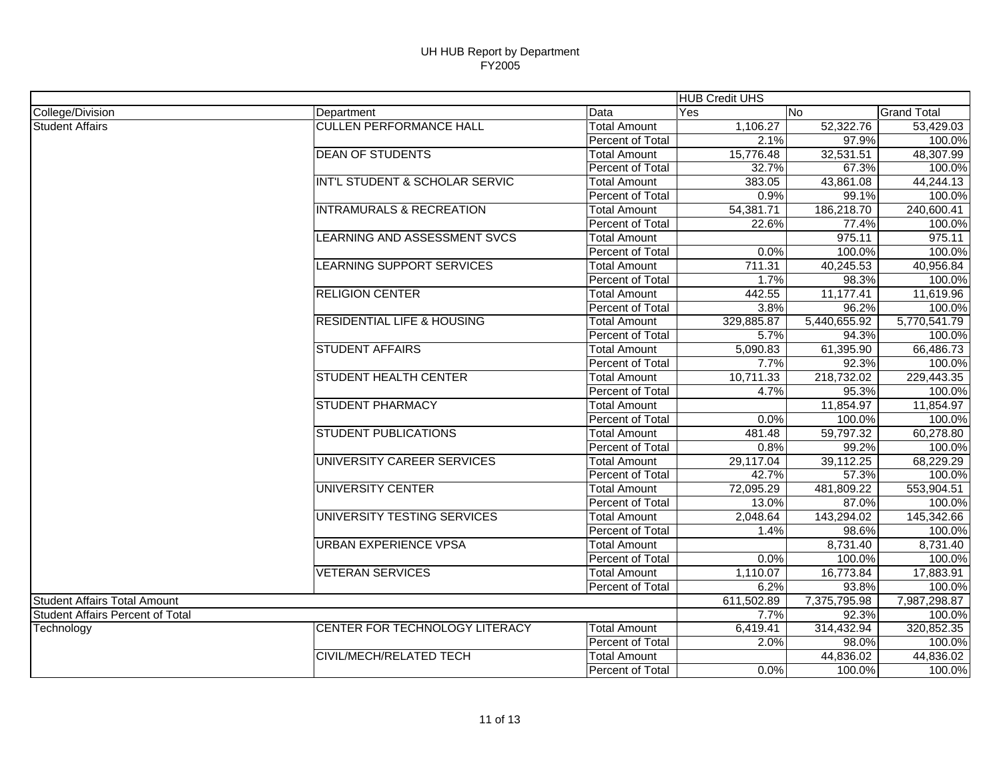| College/Division<br>Data<br>No.<br>Department<br>Yes<br><b>CULLEN PERFORMANCE HALL</b><br>1,106.27<br><b>Total Amount</b><br>52,322.76<br><b>Student Affairs</b><br>Percent of Total<br>2.1%<br>97.9%<br><b>DEAN OF STUDENTS</b><br>15,776.48<br>32,531.51<br><b>Total Amount</b><br>Percent of Total<br>32.7%<br>67.3%<br>INT'L STUDENT & SCHOLAR SERVIC<br>383.05<br>43,861.08<br><b>Total Amount</b><br>Percent of Total<br>0.9%<br>99.1%<br><b>INTRAMURALS &amp; RECREATION</b><br><b>Total Amount</b><br>54,381.71<br>186,218.70<br>22.6%<br>77.4%<br>Percent of Total<br>975.11<br>LEARNING AND ASSESSMENT SVCS<br><b>Total Amount</b><br>100.0%<br>Percent of Total<br>0.0%<br>LEARNING SUPPORT SERVICES<br>40,245.53<br><b>Total Amount</b><br>711.31<br>Percent of Total<br>1.7%<br>98.3% | <b>Grand Total</b><br>53,429.03<br>100.0%<br>48,307.99<br>100.0%<br>44,244.13<br>100.0%<br>240,600.41<br>100.0%<br>975.11 |
|----------------------------------------------------------------------------------------------------------------------------------------------------------------------------------------------------------------------------------------------------------------------------------------------------------------------------------------------------------------------------------------------------------------------------------------------------------------------------------------------------------------------------------------------------------------------------------------------------------------------------------------------------------------------------------------------------------------------------------------------------------------------------------------------------|---------------------------------------------------------------------------------------------------------------------------|
|                                                                                                                                                                                                                                                                                                                                                                                                                                                                                                                                                                                                                                                                                                                                                                                                    |                                                                                                                           |
|                                                                                                                                                                                                                                                                                                                                                                                                                                                                                                                                                                                                                                                                                                                                                                                                    |                                                                                                                           |
|                                                                                                                                                                                                                                                                                                                                                                                                                                                                                                                                                                                                                                                                                                                                                                                                    |                                                                                                                           |
|                                                                                                                                                                                                                                                                                                                                                                                                                                                                                                                                                                                                                                                                                                                                                                                                    |                                                                                                                           |
|                                                                                                                                                                                                                                                                                                                                                                                                                                                                                                                                                                                                                                                                                                                                                                                                    |                                                                                                                           |
|                                                                                                                                                                                                                                                                                                                                                                                                                                                                                                                                                                                                                                                                                                                                                                                                    |                                                                                                                           |
|                                                                                                                                                                                                                                                                                                                                                                                                                                                                                                                                                                                                                                                                                                                                                                                                    |                                                                                                                           |
|                                                                                                                                                                                                                                                                                                                                                                                                                                                                                                                                                                                                                                                                                                                                                                                                    |                                                                                                                           |
|                                                                                                                                                                                                                                                                                                                                                                                                                                                                                                                                                                                                                                                                                                                                                                                                    |                                                                                                                           |
|                                                                                                                                                                                                                                                                                                                                                                                                                                                                                                                                                                                                                                                                                                                                                                                                    |                                                                                                                           |
|                                                                                                                                                                                                                                                                                                                                                                                                                                                                                                                                                                                                                                                                                                                                                                                                    | 100.0%                                                                                                                    |
|                                                                                                                                                                                                                                                                                                                                                                                                                                                                                                                                                                                                                                                                                                                                                                                                    | 40,956.84                                                                                                                 |
|                                                                                                                                                                                                                                                                                                                                                                                                                                                                                                                                                                                                                                                                                                                                                                                                    | 100.0%                                                                                                                    |
| <b>RELIGION CENTER</b><br>11,177.41<br><b>Total Amount</b><br>442.55                                                                                                                                                                                                                                                                                                                                                                                                                                                                                                                                                                                                                                                                                                                               | 11,619.96                                                                                                                 |
| Percent of Total<br>3.8%<br>96.2%                                                                                                                                                                                                                                                                                                                                                                                                                                                                                                                                                                                                                                                                                                                                                                  | 100.0%                                                                                                                    |
| <b>RESIDENTIAL LIFE &amp; HOUSING</b><br>329,885.87<br>5,440,655.92<br><b>Total Amount</b>                                                                                                                                                                                                                                                                                                                                                                                                                                                                                                                                                                                                                                                                                                         | 5,770,541.79                                                                                                              |
| 5.7%<br>94.3%<br>Percent of Total                                                                                                                                                                                                                                                                                                                                                                                                                                                                                                                                                                                                                                                                                                                                                                  | 100.0%                                                                                                                    |
| <b>STUDENT AFFAIRS</b><br>5,090.83<br>61,395.90<br><b>Total Amount</b>                                                                                                                                                                                                                                                                                                                                                                                                                                                                                                                                                                                                                                                                                                                             | 66,486.73                                                                                                                 |
| Percent of Total<br>7.7%<br>92.3%                                                                                                                                                                                                                                                                                                                                                                                                                                                                                                                                                                                                                                                                                                                                                                  | 100.0%                                                                                                                    |
| <b>STUDENT HEALTH CENTER</b><br><b>Total Amount</b><br>10,711.33<br>218,732.02                                                                                                                                                                                                                                                                                                                                                                                                                                                                                                                                                                                                                                                                                                                     | 229,443.35                                                                                                                |
| Percent of Total<br>4.7%<br>95.3%                                                                                                                                                                                                                                                                                                                                                                                                                                                                                                                                                                                                                                                                                                                                                                  | 100.0%                                                                                                                    |
| STUDENT PHARMACY<br>11,854.97<br><b>Total Amount</b>                                                                                                                                                                                                                                                                                                                                                                                                                                                                                                                                                                                                                                                                                                                                               | 11,854.97                                                                                                                 |
| Percent of Total<br>0.0%<br>100.0%                                                                                                                                                                                                                                                                                                                                                                                                                                                                                                                                                                                                                                                                                                                                                                 | 100.0%                                                                                                                    |
| <b>STUDENT PUBLICATIONS</b><br>59,797.32<br><b>Total Amount</b><br>481.48                                                                                                                                                                                                                                                                                                                                                                                                                                                                                                                                                                                                                                                                                                                          | 60,278.80                                                                                                                 |
| 99.2%<br>Percent of Total<br>0.8%                                                                                                                                                                                                                                                                                                                                                                                                                                                                                                                                                                                                                                                                                                                                                                  | 100.0%                                                                                                                    |
| UNIVERSITY CAREER SERVICES<br>29,117.04<br>39,112.25<br><b>Total Amount</b>                                                                                                                                                                                                                                                                                                                                                                                                                                                                                                                                                                                                                                                                                                                        | 68,229.29                                                                                                                 |
| 57.3%<br>Percent of Total<br>42.7%                                                                                                                                                                                                                                                                                                                                                                                                                                                                                                                                                                                                                                                                                                                                                                 | 100.0%                                                                                                                    |
| <b>UNIVERSITY CENTER</b><br>72,095.29<br>481,809.22<br><b>Total Amount</b>                                                                                                                                                                                                                                                                                                                                                                                                                                                                                                                                                                                                                                                                                                                         | 553,904.51                                                                                                                |
| Percent of Total<br>87.0%<br>13.0%                                                                                                                                                                                                                                                                                                                                                                                                                                                                                                                                                                                                                                                                                                                                                                 | 100.0%                                                                                                                    |
| UNIVERSITY TESTING SERVICES<br><b>Total Amount</b><br>2,048.64<br>143,294.02                                                                                                                                                                                                                                                                                                                                                                                                                                                                                                                                                                                                                                                                                                                       | 145,342.66                                                                                                                |
| 98.6%<br>Percent of Total<br>1.4%                                                                                                                                                                                                                                                                                                                                                                                                                                                                                                                                                                                                                                                                                                                                                                  | 100.0%                                                                                                                    |
| <b>URBAN EXPERIENCE VPSA</b><br>8,731.40<br><b>Total Amount</b>                                                                                                                                                                                                                                                                                                                                                                                                                                                                                                                                                                                                                                                                                                                                    | 8,731.40                                                                                                                  |
| Percent of Total<br>0.0%<br>100.0%                                                                                                                                                                                                                                                                                                                                                                                                                                                                                                                                                                                                                                                                                                                                                                 | 100.0%                                                                                                                    |
| <b>VETERAN SERVICES</b><br><b>Total Amount</b><br>1,110.07<br>16,773.84                                                                                                                                                                                                                                                                                                                                                                                                                                                                                                                                                                                                                                                                                                                            | 17,883.91                                                                                                                 |
| 6.2%<br>93.8%<br>Percent of Total                                                                                                                                                                                                                                                                                                                                                                                                                                                                                                                                                                                                                                                                                                                                                                  | 100.0%                                                                                                                    |
| 7,375,795.98<br><b>Student Affairs Total Amount</b><br>611,502.89                                                                                                                                                                                                                                                                                                                                                                                                                                                                                                                                                                                                                                                                                                                                  | 7,987,298.87                                                                                                              |
| <b>Student Affairs Percent of Total</b><br>7.7%<br>92.3%                                                                                                                                                                                                                                                                                                                                                                                                                                                                                                                                                                                                                                                                                                                                           | 100.0%                                                                                                                    |
| CENTER FOR TECHNOLOGY LITERACY<br>6,419.41<br>314,432.94<br><b>Total Amount</b><br>Technology                                                                                                                                                                                                                                                                                                                                                                                                                                                                                                                                                                                                                                                                                                      | 320,852.35                                                                                                                |
| Percent of Total<br>2.0%<br>98.0%                                                                                                                                                                                                                                                                                                                                                                                                                                                                                                                                                                                                                                                                                                                                                                  | 100.0%                                                                                                                    |
| CIVIL/MECH/RELATED TECH<br><b>Total Amount</b><br>44,836.02                                                                                                                                                                                                                                                                                                                                                                                                                                                                                                                                                                                                                                                                                                                                        |                                                                                                                           |
| 0.0%<br>Percent of Total<br>100.0%                                                                                                                                                                                                                                                                                                                                                                                                                                                                                                                                                                                                                                                                                                                                                                 | 44,836.02                                                                                                                 |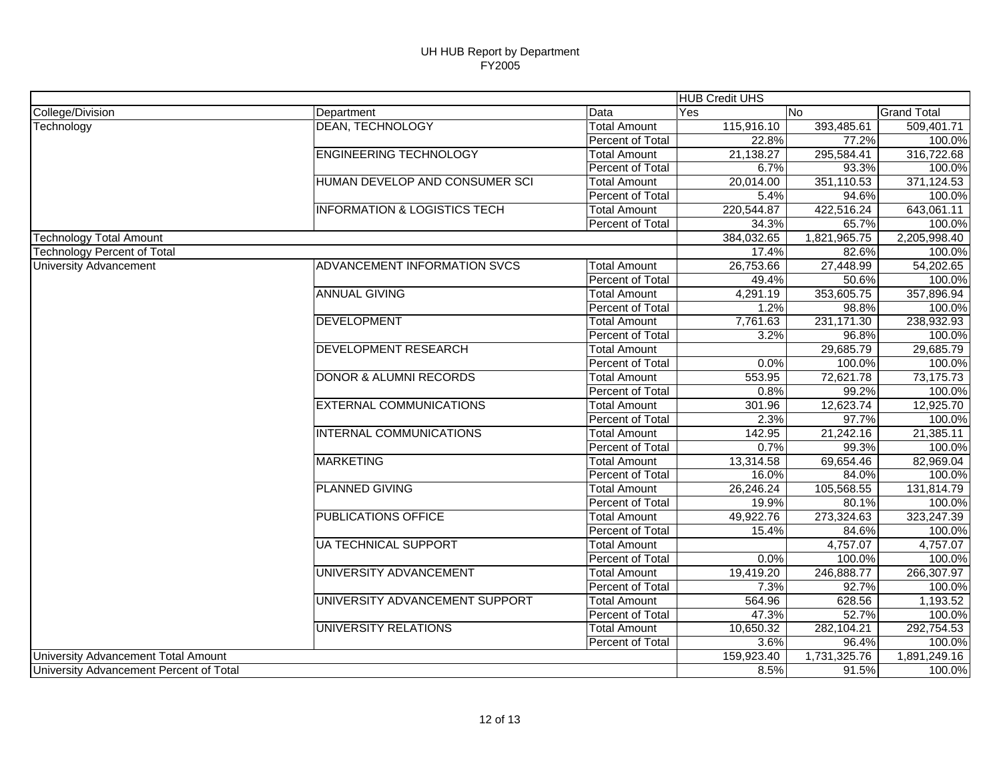| College/Division<br>Data<br>No<br><b>Grand Total</b><br>Department<br>Yes<br><b>DEAN, TECHNOLOGY</b><br><b>Total Amount</b><br>115,916.10<br>393,485.61<br>Technology<br>Percent of Total<br>22.8%<br>77.2%<br><b>ENGINEERING TECHNOLOGY</b><br><b>Total Amount</b><br>21,138.27<br>295,584.41<br>93.3%<br>Percent of Total<br>6.7%<br>HUMAN DEVELOP AND CONSUMER SCI<br>Total Amount<br>20,014.00<br>351,110.53<br>Percent of Total<br>5.4%<br>94.6%<br><b>INFORMATION &amp; LOGISTICS TECH</b><br>422,516.24<br><b>Total Amount</b><br>220,544.87<br>34.3%<br>65.7%<br>Percent of Total<br><b>Technology Total Amount</b><br>384,032.65<br>1,821,965.75<br><b>Technology Percent of Total</b><br>17.4%<br>82.6%<br><b>ADVANCEMENT INFORMATION SVCS</b><br>27,448.99<br><b>Total Amount</b><br>26,753.66<br><b>University Advancement</b><br>Percent of Total<br>49.4%<br>50.6%<br><b>ANNUAL GIVING</b><br>353,605.75<br>4,291.19<br><b>Total Amount</b><br>Percent of Total<br>1.2%<br>98.8%<br><b>DEVELOPMENT</b><br>231,171.30<br><b>Total Amount</b><br>7,761.63<br><b>Percent of Total</b><br>3.2%<br>96.8%<br><b>DEVELOPMENT RESEARCH</b><br>29,685.79<br><b>Total Amount</b><br><b>Percent of Total</b><br>0.0%<br>100.0%<br><b>DONOR &amp; ALUMNI RECORDS</b><br>553.95<br>72,621.78<br><b>Total Amount</b><br>Percent of Total<br>0.8%<br>99.2%<br><b>EXTERNAL COMMUNICATIONS</b><br><b>Total Amount</b><br>301.96<br>12,623.74<br>2.3%<br>Percent of Total<br>97.7%<br><b>INTERNAL COMMUNICATIONS</b><br>142.95<br>21,242.16<br><b>Total Amount</b><br>Percent of Total<br>0.7%<br>99.3%<br><b>MARKETING</b><br>13,314.58<br>69,654.46<br><b>Total Amount</b><br>Percent of Total<br>84.0%<br>16.0%<br><b>PLANNED GIVING</b><br>26,246.24<br>105,568.55<br><b>Total Amount</b><br>Percent of Total<br>19.9%<br>80.1%<br><b>PUBLICATIONS OFFICE</b><br>273,324.63<br>49,922.76<br><b>Total Amount</b><br>Percent of Total<br>15.4%<br>84.6%<br><b>UA TECHNICAL SUPPORT</b><br>4,757.07<br><b>Total Amount</b><br>Percent of Total<br>0.0%<br>100.0%<br>UNIVERSITY ADVANCEMENT<br>246,888.77<br><b>Total Amount</b><br>19,419.20<br>Percent of Total<br>7.3%<br>92.7%<br>UNIVERSITY ADVANCEMENT SUPPORT<br>564.96<br>628.56<br><b>Total Amount</b><br>52.7%<br>Percent of Total<br>47.3%<br>UNIVERSITY RELATIONS<br><b>Total Amount</b><br>10,650.32<br>282,104.21<br>3.6%<br>Percent of Total<br>96.4% |                                     |  | <b>HUB Credit UHS</b> |              |              |
|------------------------------------------------------------------------------------------------------------------------------------------------------------------------------------------------------------------------------------------------------------------------------------------------------------------------------------------------------------------------------------------------------------------------------------------------------------------------------------------------------------------------------------------------------------------------------------------------------------------------------------------------------------------------------------------------------------------------------------------------------------------------------------------------------------------------------------------------------------------------------------------------------------------------------------------------------------------------------------------------------------------------------------------------------------------------------------------------------------------------------------------------------------------------------------------------------------------------------------------------------------------------------------------------------------------------------------------------------------------------------------------------------------------------------------------------------------------------------------------------------------------------------------------------------------------------------------------------------------------------------------------------------------------------------------------------------------------------------------------------------------------------------------------------------------------------------------------------------------------------------------------------------------------------------------------------------------------------------------------------------------------------------------------------------------------------------------------------------------------------------------------------------------------------------------------------------------------------------------------------------------------------------------------------------------------------------------------------------------------------------------------------------------------|-------------------------------------|--|-----------------------|--------------|--------------|
|                                                                                                                                                                                                                                                                                                                                                                                                                                                                                                                                                                                                                                                                                                                                                                                                                                                                                                                                                                                                                                                                                                                                                                                                                                                                                                                                                                                                                                                                                                                                                                                                                                                                                                                                                                                                                                                                                                                                                                                                                                                                                                                                                                                                                                                                                                                                                                                                                  |                                     |  |                       |              |              |
|                                                                                                                                                                                                                                                                                                                                                                                                                                                                                                                                                                                                                                                                                                                                                                                                                                                                                                                                                                                                                                                                                                                                                                                                                                                                                                                                                                                                                                                                                                                                                                                                                                                                                                                                                                                                                                                                                                                                                                                                                                                                                                                                                                                                                                                                                                                                                                                                                  |                                     |  |                       |              | 509,401.71   |
|                                                                                                                                                                                                                                                                                                                                                                                                                                                                                                                                                                                                                                                                                                                                                                                                                                                                                                                                                                                                                                                                                                                                                                                                                                                                                                                                                                                                                                                                                                                                                                                                                                                                                                                                                                                                                                                                                                                                                                                                                                                                                                                                                                                                                                                                                                                                                                                                                  |                                     |  |                       |              | 100.0%       |
|                                                                                                                                                                                                                                                                                                                                                                                                                                                                                                                                                                                                                                                                                                                                                                                                                                                                                                                                                                                                                                                                                                                                                                                                                                                                                                                                                                                                                                                                                                                                                                                                                                                                                                                                                                                                                                                                                                                                                                                                                                                                                                                                                                                                                                                                                                                                                                                                                  |                                     |  |                       |              | 316,722.68   |
|                                                                                                                                                                                                                                                                                                                                                                                                                                                                                                                                                                                                                                                                                                                                                                                                                                                                                                                                                                                                                                                                                                                                                                                                                                                                                                                                                                                                                                                                                                                                                                                                                                                                                                                                                                                                                                                                                                                                                                                                                                                                                                                                                                                                                                                                                                                                                                                                                  |                                     |  |                       |              | 100.0%       |
|                                                                                                                                                                                                                                                                                                                                                                                                                                                                                                                                                                                                                                                                                                                                                                                                                                                                                                                                                                                                                                                                                                                                                                                                                                                                                                                                                                                                                                                                                                                                                                                                                                                                                                                                                                                                                                                                                                                                                                                                                                                                                                                                                                                                                                                                                                                                                                                                                  |                                     |  |                       |              | 371,124.53   |
|                                                                                                                                                                                                                                                                                                                                                                                                                                                                                                                                                                                                                                                                                                                                                                                                                                                                                                                                                                                                                                                                                                                                                                                                                                                                                                                                                                                                                                                                                                                                                                                                                                                                                                                                                                                                                                                                                                                                                                                                                                                                                                                                                                                                                                                                                                                                                                                                                  |                                     |  |                       |              | 100.0%       |
|                                                                                                                                                                                                                                                                                                                                                                                                                                                                                                                                                                                                                                                                                                                                                                                                                                                                                                                                                                                                                                                                                                                                                                                                                                                                                                                                                                                                                                                                                                                                                                                                                                                                                                                                                                                                                                                                                                                                                                                                                                                                                                                                                                                                                                                                                                                                                                                                                  |                                     |  |                       |              | 643,061.11   |
|                                                                                                                                                                                                                                                                                                                                                                                                                                                                                                                                                                                                                                                                                                                                                                                                                                                                                                                                                                                                                                                                                                                                                                                                                                                                                                                                                                                                                                                                                                                                                                                                                                                                                                                                                                                                                                                                                                                                                                                                                                                                                                                                                                                                                                                                                                                                                                                                                  |                                     |  |                       |              | 100.0%       |
|                                                                                                                                                                                                                                                                                                                                                                                                                                                                                                                                                                                                                                                                                                                                                                                                                                                                                                                                                                                                                                                                                                                                                                                                                                                                                                                                                                                                                                                                                                                                                                                                                                                                                                                                                                                                                                                                                                                                                                                                                                                                                                                                                                                                                                                                                                                                                                                                                  |                                     |  |                       |              | 2,205,998.40 |
|                                                                                                                                                                                                                                                                                                                                                                                                                                                                                                                                                                                                                                                                                                                                                                                                                                                                                                                                                                                                                                                                                                                                                                                                                                                                                                                                                                                                                                                                                                                                                                                                                                                                                                                                                                                                                                                                                                                                                                                                                                                                                                                                                                                                                                                                                                                                                                                                                  |                                     |  |                       |              | 100.0%       |
|                                                                                                                                                                                                                                                                                                                                                                                                                                                                                                                                                                                                                                                                                                                                                                                                                                                                                                                                                                                                                                                                                                                                                                                                                                                                                                                                                                                                                                                                                                                                                                                                                                                                                                                                                                                                                                                                                                                                                                                                                                                                                                                                                                                                                                                                                                                                                                                                                  |                                     |  |                       |              | 54,202.65    |
|                                                                                                                                                                                                                                                                                                                                                                                                                                                                                                                                                                                                                                                                                                                                                                                                                                                                                                                                                                                                                                                                                                                                                                                                                                                                                                                                                                                                                                                                                                                                                                                                                                                                                                                                                                                                                                                                                                                                                                                                                                                                                                                                                                                                                                                                                                                                                                                                                  |                                     |  |                       |              | 100.0%       |
|                                                                                                                                                                                                                                                                                                                                                                                                                                                                                                                                                                                                                                                                                                                                                                                                                                                                                                                                                                                                                                                                                                                                                                                                                                                                                                                                                                                                                                                                                                                                                                                                                                                                                                                                                                                                                                                                                                                                                                                                                                                                                                                                                                                                                                                                                                                                                                                                                  |                                     |  |                       |              | 357,896.94   |
|                                                                                                                                                                                                                                                                                                                                                                                                                                                                                                                                                                                                                                                                                                                                                                                                                                                                                                                                                                                                                                                                                                                                                                                                                                                                                                                                                                                                                                                                                                                                                                                                                                                                                                                                                                                                                                                                                                                                                                                                                                                                                                                                                                                                                                                                                                                                                                                                                  |                                     |  |                       |              | 100.0%       |
|                                                                                                                                                                                                                                                                                                                                                                                                                                                                                                                                                                                                                                                                                                                                                                                                                                                                                                                                                                                                                                                                                                                                                                                                                                                                                                                                                                                                                                                                                                                                                                                                                                                                                                                                                                                                                                                                                                                                                                                                                                                                                                                                                                                                                                                                                                                                                                                                                  |                                     |  |                       |              | 238,932.93   |
|                                                                                                                                                                                                                                                                                                                                                                                                                                                                                                                                                                                                                                                                                                                                                                                                                                                                                                                                                                                                                                                                                                                                                                                                                                                                                                                                                                                                                                                                                                                                                                                                                                                                                                                                                                                                                                                                                                                                                                                                                                                                                                                                                                                                                                                                                                                                                                                                                  |                                     |  |                       |              | 100.0%       |
|                                                                                                                                                                                                                                                                                                                                                                                                                                                                                                                                                                                                                                                                                                                                                                                                                                                                                                                                                                                                                                                                                                                                                                                                                                                                                                                                                                                                                                                                                                                                                                                                                                                                                                                                                                                                                                                                                                                                                                                                                                                                                                                                                                                                                                                                                                                                                                                                                  |                                     |  |                       |              | 29,685.79    |
|                                                                                                                                                                                                                                                                                                                                                                                                                                                                                                                                                                                                                                                                                                                                                                                                                                                                                                                                                                                                                                                                                                                                                                                                                                                                                                                                                                                                                                                                                                                                                                                                                                                                                                                                                                                                                                                                                                                                                                                                                                                                                                                                                                                                                                                                                                                                                                                                                  |                                     |  |                       |              | 100.0%       |
|                                                                                                                                                                                                                                                                                                                                                                                                                                                                                                                                                                                                                                                                                                                                                                                                                                                                                                                                                                                                                                                                                                                                                                                                                                                                                                                                                                                                                                                                                                                                                                                                                                                                                                                                                                                                                                                                                                                                                                                                                                                                                                                                                                                                                                                                                                                                                                                                                  |                                     |  |                       |              | 73,175.73    |
|                                                                                                                                                                                                                                                                                                                                                                                                                                                                                                                                                                                                                                                                                                                                                                                                                                                                                                                                                                                                                                                                                                                                                                                                                                                                                                                                                                                                                                                                                                                                                                                                                                                                                                                                                                                                                                                                                                                                                                                                                                                                                                                                                                                                                                                                                                                                                                                                                  |                                     |  |                       |              | 100.0%       |
|                                                                                                                                                                                                                                                                                                                                                                                                                                                                                                                                                                                                                                                                                                                                                                                                                                                                                                                                                                                                                                                                                                                                                                                                                                                                                                                                                                                                                                                                                                                                                                                                                                                                                                                                                                                                                                                                                                                                                                                                                                                                                                                                                                                                                                                                                                                                                                                                                  |                                     |  |                       |              | 12,925.70    |
|                                                                                                                                                                                                                                                                                                                                                                                                                                                                                                                                                                                                                                                                                                                                                                                                                                                                                                                                                                                                                                                                                                                                                                                                                                                                                                                                                                                                                                                                                                                                                                                                                                                                                                                                                                                                                                                                                                                                                                                                                                                                                                                                                                                                                                                                                                                                                                                                                  |                                     |  |                       |              | 100.0%       |
|                                                                                                                                                                                                                                                                                                                                                                                                                                                                                                                                                                                                                                                                                                                                                                                                                                                                                                                                                                                                                                                                                                                                                                                                                                                                                                                                                                                                                                                                                                                                                                                                                                                                                                                                                                                                                                                                                                                                                                                                                                                                                                                                                                                                                                                                                                                                                                                                                  |                                     |  |                       |              | 21,385.11    |
|                                                                                                                                                                                                                                                                                                                                                                                                                                                                                                                                                                                                                                                                                                                                                                                                                                                                                                                                                                                                                                                                                                                                                                                                                                                                                                                                                                                                                                                                                                                                                                                                                                                                                                                                                                                                                                                                                                                                                                                                                                                                                                                                                                                                                                                                                                                                                                                                                  |                                     |  |                       |              | 100.0%       |
|                                                                                                                                                                                                                                                                                                                                                                                                                                                                                                                                                                                                                                                                                                                                                                                                                                                                                                                                                                                                                                                                                                                                                                                                                                                                                                                                                                                                                                                                                                                                                                                                                                                                                                                                                                                                                                                                                                                                                                                                                                                                                                                                                                                                                                                                                                                                                                                                                  |                                     |  |                       |              | 82,969.04    |
|                                                                                                                                                                                                                                                                                                                                                                                                                                                                                                                                                                                                                                                                                                                                                                                                                                                                                                                                                                                                                                                                                                                                                                                                                                                                                                                                                                                                                                                                                                                                                                                                                                                                                                                                                                                                                                                                                                                                                                                                                                                                                                                                                                                                                                                                                                                                                                                                                  |                                     |  |                       |              | 100.0%       |
|                                                                                                                                                                                                                                                                                                                                                                                                                                                                                                                                                                                                                                                                                                                                                                                                                                                                                                                                                                                                                                                                                                                                                                                                                                                                                                                                                                                                                                                                                                                                                                                                                                                                                                                                                                                                                                                                                                                                                                                                                                                                                                                                                                                                                                                                                                                                                                                                                  |                                     |  |                       |              | 131,814.79   |
|                                                                                                                                                                                                                                                                                                                                                                                                                                                                                                                                                                                                                                                                                                                                                                                                                                                                                                                                                                                                                                                                                                                                                                                                                                                                                                                                                                                                                                                                                                                                                                                                                                                                                                                                                                                                                                                                                                                                                                                                                                                                                                                                                                                                                                                                                                                                                                                                                  |                                     |  |                       |              | 100.0%       |
|                                                                                                                                                                                                                                                                                                                                                                                                                                                                                                                                                                                                                                                                                                                                                                                                                                                                                                                                                                                                                                                                                                                                                                                                                                                                                                                                                                                                                                                                                                                                                                                                                                                                                                                                                                                                                                                                                                                                                                                                                                                                                                                                                                                                                                                                                                                                                                                                                  |                                     |  |                       |              | 323,247.39   |
|                                                                                                                                                                                                                                                                                                                                                                                                                                                                                                                                                                                                                                                                                                                                                                                                                                                                                                                                                                                                                                                                                                                                                                                                                                                                                                                                                                                                                                                                                                                                                                                                                                                                                                                                                                                                                                                                                                                                                                                                                                                                                                                                                                                                                                                                                                                                                                                                                  |                                     |  |                       |              | 100.0%       |
|                                                                                                                                                                                                                                                                                                                                                                                                                                                                                                                                                                                                                                                                                                                                                                                                                                                                                                                                                                                                                                                                                                                                                                                                                                                                                                                                                                                                                                                                                                                                                                                                                                                                                                                                                                                                                                                                                                                                                                                                                                                                                                                                                                                                                                                                                                                                                                                                                  |                                     |  |                       |              | 4,757.07     |
|                                                                                                                                                                                                                                                                                                                                                                                                                                                                                                                                                                                                                                                                                                                                                                                                                                                                                                                                                                                                                                                                                                                                                                                                                                                                                                                                                                                                                                                                                                                                                                                                                                                                                                                                                                                                                                                                                                                                                                                                                                                                                                                                                                                                                                                                                                                                                                                                                  |                                     |  |                       |              | 100.0%       |
|                                                                                                                                                                                                                                                                                                                                                                                                                                                                                                                                                                                                                                                                                                                                                                                                                                                                                                                                                                                                                                                                                                                                                                                                                                                                                                                                                                                                                                                                                                                                                                                                                                                                                                                                                                                                                                                                                                                                                                                                                                                                                                                                                                                                                                                                                                                                                                                                                  |                                     |  |                       |              | 266,307.97   |
|                                                                                                                                                                                                                                                                                                                                                                                                                                                                                                                                                                                                                                                                                                                                                                                                                                                                                                                                                                                                                                                                                                                                                                                                                                                                                                                                                                                                                                                                                                                                                                                                                                                                                                                                                                                                                                                                                                                                                                                                                                                                                                                                                                                                                                                                                                                                                                                                                  |                                     |  |                       |              | 100.0%       |
|                                                                                                                                                                                                                                                                                                                                                                                                                                                                                                                                                                                                                                                                                                                                                                                                                                                                                                                                                                                                                                                                                                                                                                                                                                                                                                                                                                                                                                                                                                                                                                                                                                                                                                                                                                                                                                                                                                                                                                                                                                                                                                                                                                                                                                                                                                                                                                                                                  |                                     |  |                       |              | 1,193.52     |
|                                                                                                                                                                                                                                                                                                                                                                                                                                                                                                                                                                                                                                                                                                                                                                                                                                                                                                                                                                                                                                                                                                                                                                                                                                                                                                                                                                                                                                                                                                                                                                                                                                                                                                                                                                                                                                                                                                                                                                                                                                                                                                                                                                                                                                                                                                                                                                                                                  |                                     |  |                       |              | 100.0%       |
|                                                                                                                                                                                                                                                                                                                                                                                                                                                                                                                                                                                                                                                                                                                                                                                                                                                                                                                                                                                                                                                                                                                                                                                                                                                                                                                                                                                                                                                                                                                                                                                                                                                                                                                                                                                                                                                                                                                                                                                                                                                                                                                                                                                                                                                                                                                                                                                                                  |                                     |  |                       |              | 292,754.53   |
|                                                                                                                                                                                                                                                                                                                                                                                                                                                                                                                                                                                                                                                                                                                                                                                                                                                                                                                                                                                                                                                                                                                                                                                                                                                                                                                                                                                                                                                                                                                                                                                                                                                                                                                                                                                                                                                                                                                                                                                                                                                                                                                                                                                                                                                                                                                                                                                                                  |                                     |  |                       |              | 100.0%       |
|                                                                                                                                                                                                                                                                                                                                                                                                                                                                                                                                                                                                                                                                                                                                                                                                                                                                                                                                                                                                                                                                                                                                                                                                                                                                                                                                                                                                                                                                                                                                                                                                                                                                                                                                                                                                                                                                                                                                                                                                                                                                                                                                                                                                                                                                                                                                                                                                                  | University Advancement Total Amount |  | 159,923.40            | 1,731,325.76 | 1,891,249.16 |
| University Advancement Percent of Total<br>91.5%<br>8.5%                                                                                                                                                                                                                                                                                                                                                                                                                                                                                                                                                                                                                                                                                                                                                                                                                                                                                                                                                                                                                                                                                                                                                                                                                                                                                                                                                                                                                                                                                                                                                                                                                                                                                                                                                                                                                                                                                                                                                                                                                                                                                                                                                                                                                                                                                                                                                         |                                     |  |                       |              | 100.0%       |